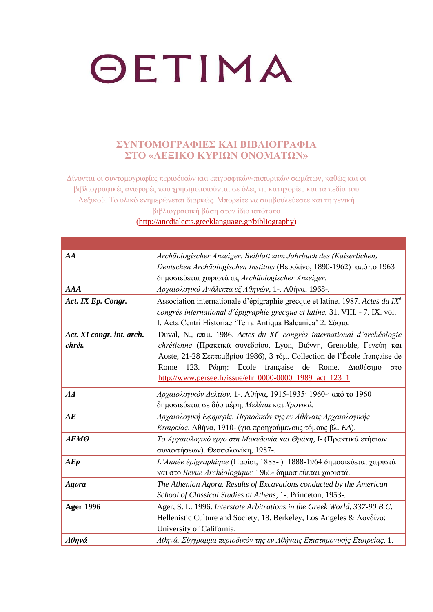#### **ΣΥΝΤΟΜΟΓΡΑΦΙΕΣ ΚΑΙ ΒΙΒΛΙΟΓΡΑΦΙΑ ΣΤΟ «ΛΕΞΙΚΟ ΚΥΡΙΩΝ ΟΝΟΜΑΤΩΝ»**

Δίνονται οι συντομογραφίες περιοδικών και επιγραφικών-παπυρικών σωμάτων, καθώς και οι βιβλιογραφικές αναφορές που χρησιμοποιούνται σε όλες τις κατηγορίες και τα πεδία του Λεξικού. Το υλικό ενημερώνεται διαρκώς. Μπορείτε να συμβουλεύεστε και τη γενική βιβλιογραφική βάση στον ίδιο ιστότοπο

[\(http://ancdialects.greeklanguage.gr/bibliography\)](http://ancdialects.greeklanguage.gr/bibliography)

| AA                        | Archäologischer Anzeiger. Beiblatt zum Jahrbuch des (Kaiserlichen)                        |
|---------------------------|-------------------------------------------------------------------------------------------|
|                           | Deutschen Archäologischen Instituts (Βερολίνο, 1890-1962) από το 1963                     |
|                           | δημοσιεύεται χωριστά ως Archäologischer Anzeiger.                                         |
| <b>AAA</b>                | Αρχαιολογικά Ανάλεκτα εξ Αθηνών, 1-. Αθήνα, 1968-.                                        |
| Act. IX Ep. Congr.        | Association internationale d'épigraphie grecque et latine. 1987. Actes du IX <sup>e</sup> |
|                           | congrès international d'épigraphie grecque et latine, 31. VIII. - 7. IX. vol.             |
|                           | I. Acta Centri Historiae 'Terra Antiqua Balcanica' 2. Σόφια.                              |
| Act. XI congr. int. arch. | Duval, N., επιμ. 1986. Actes du XI <sup>e</sup> congrès international d'archéologie       |
| chrét.                    | chrétienne (Πρακτικά συνεδρίου, Lyon, Βιέννη, Grenoble, Γενεύη και                        |
|                           | Aoste, 21-28 Σεπτεμβρίου 1986), 3 τόμ. Collection de l'École française de                 |
|                           | Pώμη: Ecole française<br>de Rome.<br>Rome 123.<br>Διαθέσιμο<br>$\sigma \tau$ o            |
|                           | http://www.persee.fr/issue/efr_0000-0000_1989_act_123_1                                   |
| $A\Lambda$                | Αρχαιολογικόν Δελτίον, 1-. Αθήνα, 1915-1935· 1960-· από το 1960                           |
|                           | δημοσιεύεται σε δύο μέρη, Μελέται και Χρονικά.                                            |
| AE                        | Αρχαιολογική Εφημερίς. Περιοδικόν της εν Αθήναις Αρχαιολογικής                            |
|                           | Εταιρείας. Αθήνα, 1910- (για προηγούμενους τόμους βλ. ΕΑ).                                |
| AEMO                      | Το Αρχαιολογικό έργο στη Μακεδονία και Θράκη, Ι- (Πρακτικά ετήσιων                        |
|                           | συναντήσεων). Θεσσαλονίκη, 1987-.                                                         |
| A E p                     | L'Année épigraphique (Παρίσι, 1888-)· 1888-1964 δημοσιεύεται χωριστά                      |
|                           | και στο Revue Archéologique: 1965- δημοσιεύεται χωριστά.                                  |
| <b>Agora</b>              | The Athenian Agora. Results of Excavations conducted by the American                      |
|                           | School of Classical Studies at Athens, 1-. Princeton, 1953-.                              |
| <b>Ager 1996</b>          | Ager, S. L. 1996. Interstate Arbitrations in the Greek World, 337-90 B.C.                 |
|                           | Hellenistic Culture and Society, 18. Berkeley, Los Angeles & Λονδίνο:                     |
|                           | University of California.                                                                 |
| Αθηνά                     | Αθηνά. Σύγγραμμα περιοδικόν της εν Αθήναις Επιστημονικής Εταιρείας, 1.                    |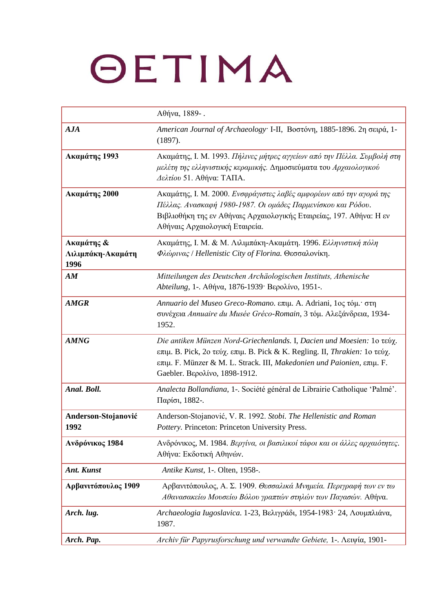|                                         | Αθήνα, 1889-.                                                                                                                                                                                                                                                   |
|-----------------------------------------|-----------------------------------------------------------------------------------------------------------------------------------------------------------------------------------------------------------------------------------------------------------------|
| AJA                                     | American Journal of Archaeology I-II, Βοστόνη, 1885-1896. 2η σειρά, 1-<br>(1897).                                                                                                                                                                               |
| Ακαμάτης 1993                           | Ακαμάτης, Ι. Μ. 1993. Πήλινες μήτρες αγγείων από την Πέλλα. Συμβολή στη<br>μελέτη της ελληνιστικής κεραμικής. Δημοσιεύματα του Αρχαιολογικού<br>Δελτίου 51. Αθήνα: ΤΑΠΑ.                                                                                        |
| Ακαμάτης 2000                           | Ακαμάτης, Ι. Μ. 2000. Ενσφράγιστες λαβές αμφορέων από την αγορά της<br>Πέλλας. Ανασκαφή 1980-1987. Οι ομάδες Παρμενίσκου και Ρόδου.<br>Βιβλιοθήκη της εν Αθήναις Αρχαιολογικής Εταιρείας, 197. Αθήνα: Η εν<br>Αθήναις Αρχαιολογική Εταιρεία.                    |
| Ακαμάτης &<br>Λιλιμπάκη-Ακαμάτη<br>1996 | Ακαμάτης, Ι. Μ. & Μ. Λιλιμπάκη-Ακαμάτη. 1996. Ελληνιστική πόλη<br>Φλώρινας / Hellenistic City of Florina. Θεσσαλονίκη.                                                                                                                                          |
| AM                                      | Mitteilungen des Deutschen Archäologischen Instituts, Athenische<br>Abteilung, 1-. Αθήνα, 1876-1939· Βερολίνο, 1951-.                                                                                                                                           |
| <b>AMGR</b>                             | Annuario del Museo Greco-Romano. επιμ. A. Adriani, 1ος τόμ. στη<br>συνέχεια Annuaire du Musée Gréco-Romain, 3 τόμ. Αλεξάνδρεια, 1934-<br>1952.                                                                                                                  |
| <b>AMNG</b>                             | Die antiken Münzen Nord-Griechenlands. I, Dacien und Moesien: 1ο τεύχ.<br>επιμ. Β. Pick, 2ο τεύχ. επιμ. Β. Pick & K. Regling. II, Thrakien: 1ο τεύχ.<br>επιμ. F. Münzer & M. L. Strack. III, Makedonien und Paionien, επιμ. F.<br>Gaebler. Βερολίνο, 1898-1912. |
| Anal. Boll.                             | Analecta Bollandiana, 1-. Société général de Librairie Catholique 'Palmé'.<br>Παρίσι, 1882-.                                                                                                                                                                    |
| Anderson-Stojanović<br>1992             | Anderson-Stojanović, V. R. 1992. Stobi. The Hellenistic and Roman<br>Pottery. Princeton: Princeton University Press.                                                                                                                                            |
| Ανδρόνικος 1984                         | Ανδρόνικος, Μ. 1984. Βεργίνα, οι βασιλικοί τάφοι και οι άλλες αρχαιότητες.<br>Αθήνα: Εκδοτική Αθηνών.                                                                                                                                                           |
| Ant. Kunst                              | Antike Kunst, 1-. Olten, 1958-.                                                                                                                                                                                                                                 |
| Αρβανιτόπουλος 1909                     | Αρβανιτόπουλος, Α. Σ. 1909. Θεσσαλικά Μνημεία. Περιγραφή των εν τω<br>Αθανασακείω Μουσείω Βόλου γραπτών στηλών των Παγασών. Αθήνα.                                                                                                                              |
| Arch. lug.                              | Archaeologia Iugoslavica. 1-23, Βελιγράδι, 1954-1983· 24, Λουμπλιάνα,<br>1987.                                                                                                                                                                                  |
| Arch. Pap.                              | Archiv für Papyrusforschung und verwandte Gebiete, 1-. Λειψία, 1901-                                                                                                                                                                                            |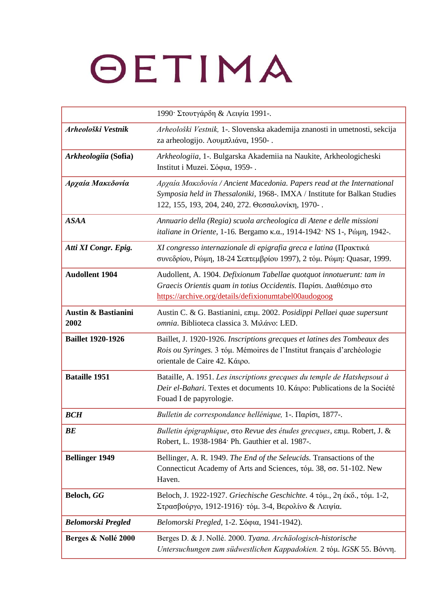|                                        | 1990 Στουτγάρδη & Λειψία 1991-.                                                                                                                                                                          |
|----------------------------------------|----------------------------------------------------------------------------------------------------------------------------------------------------------------------------------------------------------|
| Arheološki Vestnik                     | Arheološki Vestnik, 1-. Slovenska akademija znanosti in umetnosti, sekcija<br>za arheologijo. Λουμπλιάνα, 1950-.                                                                                         |
| Arkheologiia (Sofia)                   | Arkheologiia, 1-. Bulgarska Akademiia na Naukite, Arkheologicheski<br>Institut i Muzei. Σόφια, 1959-.                                                                                                    |
| Αρχαία Μακεδονία                       | Αρχαία Μακεδονία / Ancient Macedonia. Papers read at the International<br>Symposia held in Thessaloniki, 1968-. IMXA / Institute for Balkan Studies<br>122, 155, 193, 204, 240, 272. Θεσσαλονίκη, 1970-. |
| <b>ASAA</b>                            | Annuario della (Regia) scuola archeologica di Atene e delle missioni<br>italiane in Oriente, 1-16. Bergamo κ.α., 1914-1942· NS 1-, Ρώμη, 1942-.                                                          |
| Atti XI Congr. Epig.                   | XI congresso internazionale di epigrafia greca e latina (Πρακτικά<br>συνεδρίου, Ρώμη, 18-24 Σεπτεμβρίου 1997), 2 τόμ. Ρώμη: Quasar, 1999.                                                                |
| <b>Audollent 1904</b>                  | Audollent, A. 1904. Defixionum Tabellae quotquot innotuerunt: tam in<br>Graecis Orientis quam in totius Occidentis. Παρίσι. Διαθέσιμο στο<br>https://archive.org/details/defixionumtabel00audogoog       |
| <b>Austin &amp; Bastianini</b><br>2002 | Austin C. & G. Bastianini, επιμ. 2002. Posidippi Pellaei quae supersunt<br>omnia. Biblioteca classica 3. Μιλάνο: LED.                                                                                    |
| <b>Baillet 1920-1926</b>               | Baillet, J. 1920-1926. Inscriptions grecques et latines des Tombeaux des<br>Rois ou Syringes. 3 tóµ. Mémoires de l'Institut français d'archéologie<br>orientale de Caire 42. Κάιρο.                      |
| <b>Bataille 1951</b>                   | Bataille, A. 1951. Les inscriptions grecques du temple de Hatshepsout à<br>Deir el-Bahari. Textes et documents 10. Kárpo: Publications de la Société<br>Fouad I de papyrologie.                          |
| <b>BCH</b>                             | Bulletin de correspondance hellénique, 1-. Παρίσι, 1877-.                                                                                                                                                |
| BE                                     | Bulletin épigraphique, στο Revue des études grecques, επιμ. Robert, J. &<br>Robert, L. 1938-1984 Ph. Gauthier et al. 1987-.                                                                              |
| <b>Bellinger 1949</b>                  | Bellinger, A. R. 1949. The End of the Seleucids. Transactions of the<br>Connecticut Academy of Arts and Sciences, τόμ. 38, σσ. 51-102. New<br>Haven.                                                     |
| Beloch, GG                             | Beloch, J. 1922-1927. Griechische Geschichte. 4 τόμ., 2η έκδ., τόμ. 1-2,<br>Στρασβούργο, 1912-1916) τόμ. 3-4, Βερολίνο & Λειψία.                                                                         |
| <b>Belomorski Pregled</b>              | Belomorski Pregled, 1-2. Σόφια, 1941-1942).                                                                                                                                                              |
| Berges & Nollé 2000                    | Berges D. & J. Nollé. 2000. Tyana. Archäologisch-historische<br>Untersuchungen zum südwestlichen Kappadokien. 2 τόμ. IGSK 55. Βόννη.                                                                     |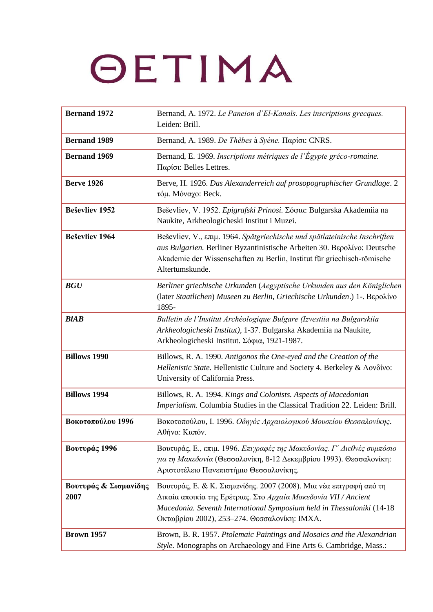| <b>Bernand 1972</b>           | Bernand, A. 1972. Le Paneion d'El-Kanaïs. Les inscriptions grecques.<br>Leiden: Brill.                                                                                                                                                                          |
|-------------------------------|-----------------------------------------------------------------------------------------------------------------------------------------------------------------------------------------------------------------------------------------------------------------|
| <b>Bernand 1989</b>           | Bernand, A. 1989. De Thèbes à Syène. Παρίσι: CNRS.                                                                                                                                                                                                              |
| <b>Bernand 1969</b>           | Bernand, E. 1969. Inscriptions métriques de l'Égypte gréco-romaine.<br>Παρίσι: Belles Lettres.                                                                                                                                                                  |
| <b>Berve 1926</b>             | Berve, H. 1926. Das Alexanderreich auf prosopographischer Grundlage. 2<br>τόμ. Μόναχο: Beck.                                                                                                                                                                    |
| <b>Beševliev 1952</b>         | Beševliev, V. 1952. Epigrafski Prinosi. Σόφια: Bulgarska Akademiia na<br>Naukite, Arkheologicheski Institut i Muzei.                                                                                                                                            |
| <b>Beševliev 1964</b>         | Beševliev, V., επιμ. 1964. Spätgriechische und spätlateinische Inschriften<br>aus Bulgarien. Berliner Byzantinistische Arbeiten 30. Βερολίνο: Deutsche<br>Akademie der Wissenschaften zu Berlin, Institut für griechisch-römische<br>Altertumskunde.            |
| <b>BGU</b>                    | Berliner griechische Urkunden (Aegyptische Urkunden aus den Königlichen<br>(later Staatlichen) Museen zu Berlin, Griechische Urkunden.) 1-. Βερολίνο<br>1895-                                                                                                   |
| <b>BlAB</b>                   | Bulletin de l'Institut Archéologique Bulgare (Izvestiia na Bulgarskiia<br>Arkheologicheski Institut), 1-37. Bulgarska Akademiia na Naukite,<br>Arkheologicheski Institut. Σόφια, 1921-1987.                                                                     |
| <b>Billows 1990</b>           | Billows, R. A. 1990. Antigonos the One-eyed and the Creation of the<br>Hellenistic State. Hellenistic Culture and Society 4. Berkeley & Λονδίνο:<br>University of California Press.                                                                             |
| <b>Billows 1994</b>           | Billows, R. A. 1994. Kings and Colonists. Aspects of Macedonian<br>Imperialism. Columbia Studies in the Classical Tradition 22. Leiden: Brill.                                                                                                                  |
| Βοκοτοπούλου 1996             | Βοκοτοπούλου, Ι. 1996. Οδηγός Αρχαιολογικού Μουσείου Θεσσαλονίκης.<br>Αθήνα: Καπόν.                                                                                                                                                                             |
| Βουτυράς 1996                 | Βουτυράς, Ε., επιμ. 1996. Επιγραφές της Μακεδονίας. Γ' Διεθνές συμπόσιο<br>για τη Μακεδονία (Θεσσαλονίκη, 8-12 Δεκεμβρίου 1993). Θεσσαλονίκη:<br>Αριστοτέλειο Πανεπιστήμιο Θεσσαλονίκης.                                                                        |
| Βουτυράς & Σισμανίδης<br>2007 | Βουτυράς, Ε. & Κ. Σισμανίδης. 2007 (2008). Μια νέα επιγραφή από τη<br>Δικαία αποικία της Ερέτριας. Στο Αρχαία Μακεδονία VII / Ancient<br>Macedonia. Seventh International Symposium held in Thessaloniki (14-18<br>Οκτωβρίου 2002), 253-274. Θεσσαλονίκη: ΙΜΧΑ. |
| <b>Brown 1957</b>             | Brown, B. R. 1957. Ptolemaic Paintings and Mosaics and the Alexandrian<br>Style. Monographs on Archaeology and Fine Arts 6. Cambridge, Mass.:                                                                                                                   |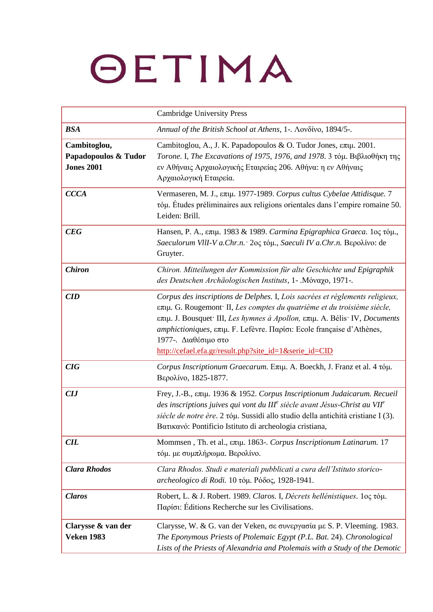|                                                           | <b>Cambridge University Press</b>                                                                                                                                                                                                                                                                                                                                                                                                      |
|-----------------------------------------------------------|----------------------------------------------------------------------------------------------------------------------------------------------------------------------------------------------------------------------------------------------------------------------------------------------------------------------------------------------------------------------------------------------------------------------------------------|
| <b>BSA</b>                                                | Annual of the British School at Athens, 1-. Λονδίνο, 1894/5-.                                                                                                                                                                                                                                                                                                                                                                          |
| Cambitoglou,<br>Papadopoulos & Tudor<br><b>Jones 2001</b> | Cambitoglou, A., J. K. Papadopoulos & O. Tudor Jones, επιμ. 2001.<br>Torone. I, The Excavations of 1975, 1976, and 1978. 3 τόμ. Βιβλιοθήκη της<br>εν Αθήναις Αρχαιολογικής Εταιρείας 206. Αθήνα: η εν Αθήναις<br>Αρχαιολογική Εταιρεία.                                                                                                                                                                                                |
| <b>CCCA</b>                                               | Vermaseren, M. J., επιμ. 1977-1989. Corpus cultus Cybelae Attidisque. 7<br>τόμ. Études préliminaires aux religions orientales dans l'empire romaine 50.<br>Leiden: Brill.                                                                                                                                                                                                                                                              |
| CEG                                                       | Hansen, Ρ. Α., επιμ. 1983 & 1989. Carmina Epigraphica Graeca. 1ος τόμ.,<br>Saeculorum VllI-V a.Chr.n. · 2ος τόμ., Saeculi IV a.Chr.n. Βερολίνο: de<br>Gruyter.                                                                                                                                                                                                                                                                         |
| <b>Chiron</b>                                             | Chiron. Mitteilungen der Kommission für alte Geschichte und Epigraphik<br>des Deutschen Archäologischen Instituts, 1- . Móvaxo, 1971-.                                                                                                                                                                                                                                                                                                 |
| <b>CID</b>                                                | Corpus des inscriptions de Delphes. I, Lois sacrées et règlements religieux,<br>επιμ. G. Rougemont <sup>.</sup> II, Les comptes du quatrième et du troisième siècle,<br>επιμ. J. Bousquet <sup>·</sup> III, Les hymnes à Apollon, επιμ. A. Bélis <sup>·</sup> IV, Documents<br>amphictioniques, επιμ. F. Lefèvre. Παρίσι: Ecole française d'Athènes,<br>1977-. Διαθέσιμο στο<br>http://cefael.efa.gr/result.php?site_id=1&serie_id=CID |
| CIG                                                       | Corpus Inscriptionum Graecarum. Επιμ. A. Boeckh, J. Franz et al. 4 τόμ.<br>Βερολίνο, 1825-1877.                                                                                                                                                                                                                                                                                                                                        |
| <b>CIJ</b>                                                | Frey, J.-B., επιμ. 1936 & 1952. Corpus Inscriptionum Judaicarum. Recueil<br>des inscriptions juives qui vont du IIIe siècle avant Jésus-Christ au VII <sup>e</sup><br>siècle de notre ère. 2 τόμ. Sussidi allo studio della antichità cristiane I (3).<br>Βατικανό: Pontificio Istituto di archeologia cristiana,                                                                                                                      |
| <b>CIL</b>                                                | Mommsen, Th. et al., επιμ. 1863-. Corpus Inscriptionum Latinarum. 17<br>τόμ. με συμπλήρωμα. Βερολίνο.                                                                                                                                                                                                                                                                                                                                  |
| <b>Clara Rhodos</b>                                       | Clara Rhodos. Studi e materiali pubblicati a cura dell'Istituto storico-<br>archeologico di Rodi. 10 τόμ. Ρόδος, 1928-1941.                                                                                                                                                                                                                                                                                                            |
| <b>Claros</b>                                             | Robert, L. & J. Robert. 1989. Claros. I, Décrets hellénistiques. 1ος τόμ.<br>Παρίσι: Éditions Recherche sur les Civilisations.                                                                                                                                                                                                                                                                                                         |
| Clarysse & van der<br><b>Veken 1983</b>                   | Clarysse, W. & G. van der Veken, σε συνεργασία με S. P. Vleeming. 1983.<br>The Eponymous Priests of Ptolemaic Egypt (P.L. Bat. 24). Chronological<br>Lists of the Priests of Alexandria and Ptolemais with a Study of the Demotic                                                                                                                                                                                                      |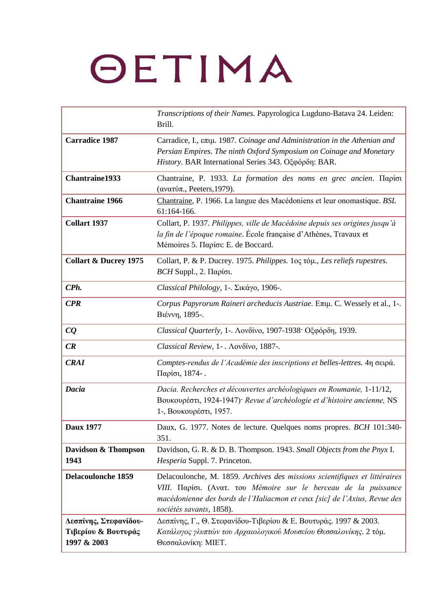|                                                             | Transcriptions of their Names. Papyrologica Lugduno-Batava 24. Leiden:<br>Brill.                                                                                                                                                                       |
|-------------------------------------------------------------|--------------------------------------------------------------------------------------------------------------------------------------------------------------------------------------------------------------------------------------------------------|
| <b>Carradice 1987</b>                                       | Carradice, I., επιμ. 1987. Coinage and Administration in the Athenian and<br>Persian Empires. The ninth Oxford Symposium on Coinage and Monetary<br>History. BAR International Series 343. Οξφόρδη: BAR.                                               |
| Chantraine1933                                              | Chantraine, P. 1933. La formation des noms en grec ancien. Παρίσι<br>(ανατύπ., Peeters, 1979).                                                                                                                                                         |
| <b>Chantraine 1966</b>                                      | Chantraine, P. 1966. La langue des Macédoniens et leur onomastique. BSL<br>61:164-166.                                                                                                                                                                 |
| <b>Collart 1937</b>                                         | Collart, P. 1937. Philippes, ville de Macédoine depuis ses origines jusqu'à<br>la fin de l'époque romaine. École française d'Athènes, Travaux et<br>Mémoires 5. Παρίσι: E. de Boccard.                                                                 |
| <b>Collart &amp; Ducrey 1975</b>                            | Collart, P. & P. Ducrey. 1975. Philippes. 1oc τόμ., Les reliefs rupestres.<br>$BCH$ Suppl., 2. Παρίσι.                                                                                                                                                 |
| CPh.                                                        | Classical Philology, 1-. Σικάγο, 1906-.                                                                                                                                                                                                                |
| CPR                                                         | Corpus Papyrorum Raineri archeducis Austriae. Επιμ. C. Wessely et al., 1-.<br>Βιέννη, 1895-.                                                                                                                                                           |
| CQ                                                          | Classical Quarterly, 1-. Λονδίνο, 1907-1938· Οξφόρδη, 1939.                                                                                                                                                                                            |
| CR                                                          | Classical Review, 1-. Λονδίνο, 1887-.                                                                                                                                                                                                                  |
| <b>CRAI</b>                                                 | Comptes-rendus de l'Académie des inscriptions et belles-lettres. 4η σειρά.<br>Παρίσι, 1874-.                                                                                                                                                           |
| Dacia                                                       | Dacia. Recherches et découvertes archéologiques en Roumanie, 1-11/12,<br>Βουκουρέστι, 1924-1947) <sup>·</sup> Revue d'archéologie et d'histoire ancienne, NS<br>1-, Βουκουρέστι, 1957.                                                                 |
| <b>Daux 1977</b>                                            | Daux, G. 1977. Notes de lecture. Quelques noms propres. BCH 101:340-<br>351.                                                                                                                                                                           |
| Davidson & Thompson<br>1943                                 | Davidson, G. R. & D. B. Thompson. 1943. Small Objects from the Pnyx I.<br>Hesperia Suppl. 7. Princeton.                                                                                                                                                |
| <b>Delacoulonche 1859</b>                                   | Delacoulonche, M. 1859. Archives des missions scientifiques et littéraires<br>VIII. Παρίσι. (Ανατ. του Mémoire sur le berceau de la puissance<br>macédonienne des bords de l'Haliacmon et ceux [sic] de l'Axius, Revue des<br>sociétés savants, 1858). |
| Δεσπίνης, Στεφανίδου-<br>Τιβερίου & Βουτυράς<br>1997 & 2003 | Δεσπίνης, Γ., Θ. Στεφανίδου-Τιβερίου & Ε. Βουτυράς. 1997 & 2003.<br>Κατάλογος γλυπτών του Αρχαιολογικού Μουσείου Θεσσαλονίκης. 2 τόμ.<br>Θεσσαλονίκη: ΜΙΕΤ.                                                                                            |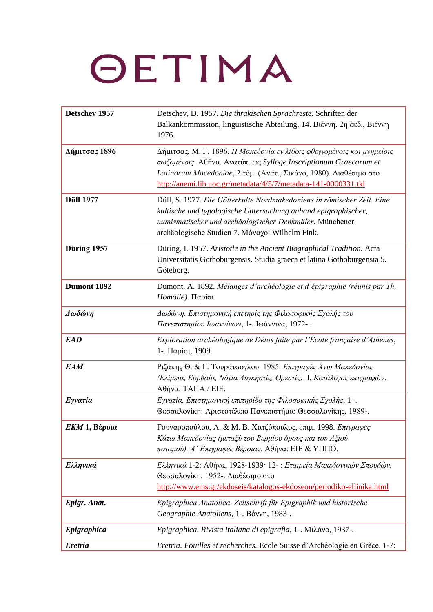| Detschev 1957         | Detschev, D. 1957. Die thrakischen Sprachreste. Schriften der<br>Balkankommission, linguistische Abteilung, 14. Βιέννη. 2η έκδ., Βιέννη<br>1976.                                                                                                                                   |
|-----------------------|------------------------------------------------------------------------------------------------------------------------------------------------------------------------------------------------------------------------------------------------------------------------------------|
| Δήμιτσας 1896         | Δήμιτσας, Μ. Γ. 1896. Η Μακεδονία εν λίθοις φθεγγομένοις και μνημείοις<br>σωζομένοις. Αθήνα. Ανατύπ. ως Sylloge Inscriptionum Graecarum et<br>Latinarum Macedoniae, 2 τόμ. (Ανατ., Σικάγο, 1980). Διαθέσιμο στο<br>http://anemi.lib.uoc.gr/metadata/4/5/7/metadata-141-0000331.tkl |
| <b>Düll 1977</b>      | Düll, S. 1977. Die Götterkulte Nordmakedoniens in römischer Zeit. Eine<br>kultische und typologische Untersuchung anhand epigraphischer,<br>numismatischer und archäologischer Denkmäler. Münchener<br>archäologische Studien 7. Μόναχο: Wilhelm Fink.                             |
| Düring 1957           | Düring, I. 1957. Aristotle in the Ancient Biographical Tradition. Acta<br>Universitatis Gothoburgensis. Studia graeca et latina Gothoburgensia 5.<br>Göteborg.                                                                                                                     |
| Dumont 1892           | Dumont, A. 1892. Mélanges d'archéologie et d'épigraphie (réunis par Th.<br>Homolle). Παρίσι.                                                                                                                                                                                       |
| Δωδώνη                | Δωδώνη. Επιστημονική επετηρίς της Φιλοσοφικής Σχολής του<br>Πανεπιστημίου Ιωαννίνων, 1-. Ιωάννινα, 1972-.                                                                                                                                                                          |
| <b>EAD</b>            | Exploration archéologique de Délos faite par l'École française d'Athènes,<br>1-. Παρίσι, 1909.                                                                                                                                                                                     |
| <b>EAM</b>            | Ριζάκης Θ. & Γ. Τουράτσογλου. 1985. Επιγραφές Άνω Μακεδονίας<br>(Ελίμεια, Εορδαία, Νότια Λυγκηστίς, Ορεστίς). Ι, Κατάλογος επιγραφών.<br>Αθήνα: ΤΑΠΑ / ΕΙΕ.                                                                                                                        |
| <b><i>Eyvatia</i></b> | Εγνατία. Επιστημονική επετηρίδα της Φιλοσοφικής Σχολής, 1-.<br>Θεσσαλονίκη: Αριστοτέλειο Πανεπιστήμιο Θεσσαλονίκης, 1989-.                                                                                                                                                         |
| $EKM 1$ , Βέροια      | Γουναροπούλου, Λ. & Μ. Β. Χατζόπουλος, επιμ. 1998. Επιγραφές<br>Κάτω Μακεδονίας (μεταξύ του Βερμίου όρους και του Αξιού<br>ποταμού). Α' Επιγραφές Βέροιας. Αθήνα: ΕΙΕ & ΥΠΠΟ.                                                                                                      |
| Ελληνικά              | Ελληνικά 1-2: Αθήνα, 1928-1939· 12-: Εταιρεία Μακεδονικών Σπουδών,<br>Θεσσαλονίκη, 1952-. Διαθέσιμο στο<br>http://www.ems.gr/ekdoseis/katalogos-ekdoseon/periodiko-ellinika.html                                                                                                   |
| Epigr. Anat.          | Epigraphica Anatolica. Zeitschrift für Epigraphik und historische<br>Geographie Anatoliens, 1-. Bóvvn, 1983-.                                                                                                                                                                      |
| Epigraphica           | Epigraphica. Rivista italiana di epigrafia, 1-. Μιλάνο, 1937-.                                                                                                                                                                                                                     |
| <b>Eretria</b>        | Eretria. Fouilles et recherches. Ecole Suisse d'Archéologie en Grèce. 1-7:                                                                                                                                                                                                         |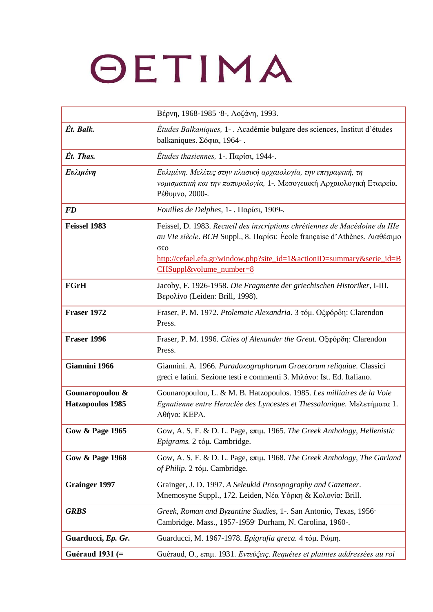|                                            | Βέρνη, 1968-1985 · 8-, Λοζάνη, 1993.                                                                                                                                                                                                                                 |
|--------------------------------------------|----------------------------------------------------------------------------------------------------------------------------------------------------------------------------------------------------------------------------------------------------------------------|
| Ét. Balk.                                  | Études Balkaniques, 1-. Académie bulgare des sciences, Institut d'études<br>balkaniques. Σόφια, 1964-.                                                                                                                                                               |
| Ét. Thas.                                  | <i>Études thasiennes</i> , 1-. Παρίσι, 1944-.                                                                                                                                                                                                                        |
| Ευλιμένη                                   | Ευλιμένη. Μελέτες στην κλασική αρχαιολογία, την επιγραφική, τη<br>νομισματική και την παπυρολογία, 1-. Μεσογειακή Αρχαιολογική Εταιρεία.<br>Ρέθυμνο, 2000-.                                                                                                          |
| <b>FD</b>                                  | Fouilles de Delphes, 1 -. Παρίσι, 1909-.                                                                                                                                                                                                                             |
| Feissel 1983                               | Feissel, D. 1983. Recueil des inscriptions chrétiennes de Macédoine du IIIe<br>au VIe siècle. BCH Suppl., 8. Παρίσι: École française d'Athènes. Διαθέσιμο<br>στο<br>http://cefael.efa.gr/window.php?site_id=1&actionID=summary&serie_id=B<br>CHSuppl&volume number=8 |
| <b>FGrH</b>                                | Jacoby, F. 1926-1958. Die Fragmente der griechischen Historiker, I-III.<br>Βερολίνο (Leiden: Brill, 1998).                                                                                                                                                           |
| <b>Fraser 1972</b>                         | Fraser, P. M. 1972. Ptolemaic Alexandria. 3 τόμ. Οξφόρδη: Clarendon<br>Press.                                                                                                                                                                                        |
| Fraser 1996                                | Fraser, P. M. 1996. Cities of Alexander the Great. Οξφόρδη: Clarendon<br>Press.                                                                                                                                                                                      |
| Giannini 1966                              | Giannini. A. 1966. Paradoxographorum Graecorum reliquiae. Classici<br>greci e latini. Sezione testi e commenti 3. Μιλάνο: Ist. Ed. Italiano.                                                                                                                         |
| Gounaropoulou &<br><b>Hatzopoulos 1985</b> | Gounaropoulou, L. & M. B. Hatzopoulos. 1985. Les milliaires de la Voie<br>Egnatienne entre Heraclée des Lyncestes et Thessalonique. Μελετήματα 1.<br>Αθήνα: ΚΕΡΑ.                                                                                                    |
| <b>Gow &amp; Page 1965</b>                 | Gow, A. S. F. & D. L. Page, επιμ. 1965. The Greek Anthology, Hellenistic<br>Epigrams. 2 τόμ. Cambridge.                                                                                                                                                              |
| <b>Gow &amp; Page 1968</b>                 | Gow, A. S. F. & D. L. Page, επιμ. 1968. The Greek Anthology, The Garland<br>of Philip. 2 τόμ. Cambridge.                                                                                                                                                             |
| <b>Grainger 1997</b>                       | Grainger, J. D. 1997. A Seleukid Prosopography and Gazetteer.<br>Mnemosyne Suppl., 172. Leiden, Νέα Υόρκη & Κολονία: Brill.                                                                                                                                          |
| <b>GRBS</b>                                | Greek, Roman and Byzantine Studies, 1-. San Antonio, Texas, 1956 <sup>.</sup><br>Cambridge. Mass., 1957-1959 <sup>.</sup> Durham, N. Carolina, 1960-.                                                                                                                |
| Guarducci, Ep. Gr.                         | Guarducci, M. 1967-1978. Epigrafia greca. 4 τόμ. Ρώμη.                                                                                                                                                                                                               |
| Guéraud 1931 $(=$                          | Guéraud, O., επιμ. 1931. Εντεύζεις. Requêtes et plaintes addressées au roi                                                                                                                                                                                           |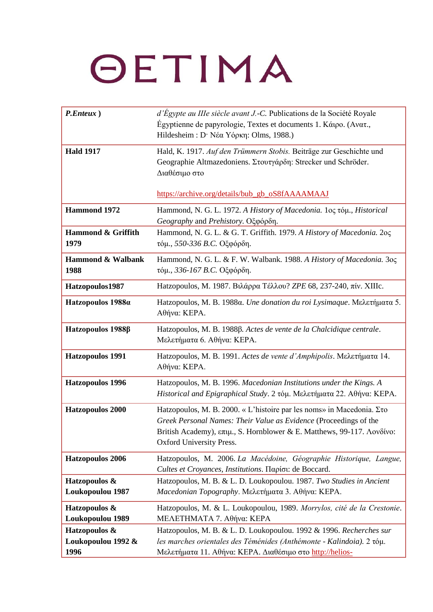| P.Enteux)                                   | d'Égypte au III e siècle avant J.-C. Publications de la Société Royale<br>Égyptienne de papyrologie, Textes et documents 1. Κάιρο. (Ανατ.,<br>Hildesheim: D· Νέα Υόρκη: Olms, 1988.)                                                             |
|---------------------------------------------|--------------------------------------------------------------------------------------------------------------------------------------------------------------------------------------------------------------------------------------------------|
| <b>Hald 1917</b>                            | Hald, K. 1917. Auf den Trümmern Stobis. Beiträge zur Geschichte und<br>Geographie Altmazedoniens. Στουτγάρδη: Strecker und Schröder.<br>Διαθέσιμο στο                                                                                            |
|                                             | https://archive.org/details/bub_gb_oS8fAAAAMAAJ                                                                                                                                                                                                  |
| <b>Hammond 1972</b>                         | Hammond, N. G. L. 1972. A History of Macedonia. 1oς τόμ., Historical<br>Geography and Prehistory. Οξφόρδη.                                                                                                                                       |
| Hammond & Griffith<br>1979                  | Hammond, N. G. L. & G. T. Griffith. 1979. A History of Macedonia. 205<br>τόμ., 550-336 B.C. Οξφόρδη.                                                                                                                                             |
| Hammond & Walbank<br>1988                   | Hammond, N. G. L. & F. W. Walbank. 1988. A History of Macedonia. 3oc<br>τόμ., 336-167 Β.C. Οξφόρδη.                                                                                                                                              |
| Hatzopoulos1987                             | Hatzopoulos, Μ. 1987. Βιλάρρα Τέλλου? ΖΡΕ 68, 237-240, πίν. ΧΙΙΙς.                                                                                                                                                                               |
| Hatzopoulos 1988a                           | Hatzopoulos, M. B. 1988α. Une donation du roi Lysimaque. Μελετήματα 5.<br>Αθήνα: ΚΕΡΑ.                                                                                                                                                           |
| Hatzopoulos 1988β                           | Hatzopoulos, M. B. 1988β. Actes de vente de la Chalcidique centrale.<br>Μελετήματα 6. Αθήνα: ΚΕΡΑ.                                                                                                                                               |
| <b>Hatzopoulos 1991</b>                     | Hatzopoulos, M. B. 1991. Actes de vente d'Amphipolis. Μελετήματα 14.<br>Αθήνα: ΚΕΡΑ.                                                                                                                                                             |
| <b>Hatzopoulos 1996</b>                     | Hatzopoulos, M. B. 1996. Macedonian Institutions under the Kings. A<br>Historical and Epigraphical Study. 2 τόμ. Μελετήματα 22. Αθήνα: ΚΕΡΑ.                                                                                                     |
| <b>Hatzopoulos 2000</b>                     | Hatzopoulos, M. B. 2000. « L'histoire par les noms» in Macedonia. Στο<br>Greek Personal Names: Their Value as Evidence (Proceedings of the<br>British Academy), επιμ., S. Hornblower & E. Matthews, 99-117. Λονδίνο:<br>Oxford University Press. |
| <b>Hatzopoulos 2006</b>                     | Hatzopoulos, M. 2006. La Macédoine, Géographie Historique, Langue,<br>Cultes et Croyances, Institutions. Παρίσι: de Boccard.                                                                                                                     |
| Hatzopoulos &<br>Loukopoulou 1987           | Hatzopoulos, M. B. & L. D. Loukopoulou. 1987. Two Studies in Ancient<br>Macedonian Topography. Μελετήματα 3. Αθήνα: ΚΕΡΑ.                                                                                                                        |
| Hatzopoulos &<br>Loukopoulou 1989           | Hatzopoulos, M. & L. Loukopoulou, 1989. Morrylos, cité de la Crestonie.<br>ΜΕΛΕΤΗΜΑΤΑ 7. Αθήνα: ΚΕΡΑ                                                                                                                                             |
| Hatzopoulos &<br>Loukopoulou 1992 &<br>1996 | Hatzopoulos, M. B. & L. D. Loukopoulou. 1992 & 1996. Recherches sur<br>les marches orientales des Téménides (Anthémonte - Kalindoia). 2 tóµ.<br>Μελετήματα 11. Αθήνα: ΚΕΡΑ. Διαθέσιμο στο http://helios-                                         |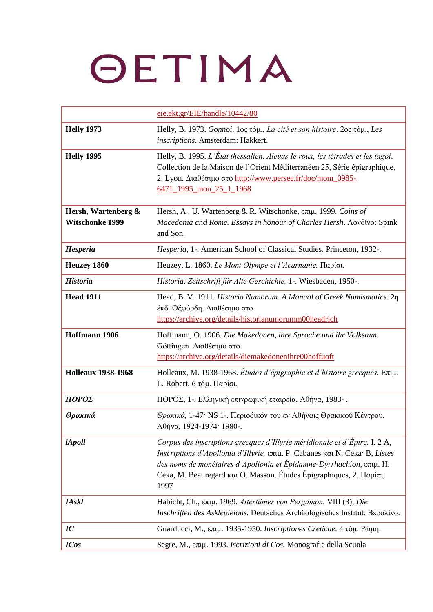|                                               | eie.ekt.gr/EIE/handle/10442/80                                                                                                                                                                                                                                                                                   |
|-----------------------------------------------|------------------------------------------------------------------------------------------------------------------------------------------------------------------------------------------------------------------------------------------------------------------------------------------------------------------|
| <b>Helly 1973</b>                             | Helly, B. 1973. Gonnoi. 1ος τόμ., La cité et son histoire. 2ος τόμ., Les<br>inscriptions. Amsterdam: Hakkert.                                                                                                                                                                                                    |
| <b>Helly 1995</b>                             | Helly, B. 1995. L'État thessalien. Aleuas Ie roux, les tétrades et les tagoi.<br>Collection de la Maison de l'Orient Méditerranéen 25, Série épigraphique,<br>2. Lyon. Διαθέσιμο στο http://www.persee.fr/doc/mom_0985-<br>6471_1995_mon_25_1_1968                                                               |
| Hersh, Wartenberg &<br><b>Witschonke 1999</b> | Hersh, A., U. Wartenberg & R. Witschonke, επιμ. 1999. Coins of<br>Macedonia and Rome. Essays in honour of Charles Hersh. Aovδívo: Spink<br>and Son.                                                                                                                                                              |
| Hesperia                                      | Hesperia, 1-. American School of Classical Studies. Princeton, 1932-.                                                                                                                                                                                                                                            |
| <b>Heuzey 1860</b>                            | Heuzey, L. 1860. Le Mont Olympe et l'Acarnanie. Παρίσι.                                                                                                                                                                                                                                                          |
| <b>Historia</b>                               | Historia. Zeitschrift für Alte Geschichte, 1-. Wiesbaden, 1950-.                                                                                                                                                                                                                                                 |
| <b>Head 1911</b>                              | Head, B. V. 1911. Historia Numorum. A Manual of Greek Numismatics. 2n<br>έκδ. Οξφόρδη. Διαθέσιμο στο<br>https://archive.org/details/historianumorumm00headrich                                                                                                                                                   |
| Hoffmann 1906                                 | Hoffmann, O. 1906. Die Makedonen, ihre Sprache und ihr Volkstum.<br>Göttingen. Διαθέσιμο στο<br>https://archive.org/details/diemakedonenihre00hoffuoft                                                                                                                                                           |
| <b>Holleaux 1938-1968</b>                     | Holleaux, M. 1938-1968. <i>Études d'épigraphie et d'histoire grecques</i> . Επιμ.<br>L. Robert. 6 τόμ. Παρίσι.                                                                                                                                                                                                   |
| ΗΟΡΟΣ                                         | ΗΟΡΟΣ, 1-. Ελληνική επιγραφική εταιρεία. Αθήνα, 1983-.                                                                                                                                                                                                                                                           |
| Θρακικά                                       | Θρακικά, 1-47· NS 1-. Περιοδικόν του εν Αθήναις Θρακικού Κέντρου.<br>$Aθ$ ήνα, 1924-1974· 1980-.                                                                                                                                                                                                                 |
| <i>lApoll</i>                                 | Corpus des inscriptions grecques d'Illyrie méridionale et d'Épire. I. 2 A,<br>Inscriptions d'Apollonia d'Illyrie, επιμ. P. Cabanes και Ν. Ceka· B, Listes<br>des noms de monétaires d'Apolionia et Épidamne-Dyrrhachion, επιμ. Η.<br>Ceka, M. Beauregard και O. Masson. Études Épigraphiques, 2. Παρίσι,<br>1997 |
| <b>IAskl</b>                                  | Habicht, Ch., επιμ. 1969. Altertümer von Pergamon. VIII (3), Die<br>Inschriften des Asklepieions. Deutsches Archäologisches Institut. Bepolívo.                                                                                                                                                                  |
| IC                                            | Guarducci, Μ., επιμ. 1935-1950. Inscriptiones Creticae. 4 τόμ. Ρώμη.                                                                                                                                                                                                                                             |
| <b>ICos</b>                                   | Segre, Μ., επιμ. 1993. Iscrizioni di Cos. Monografie della Scuola                                                                                                                                                                                                                                                |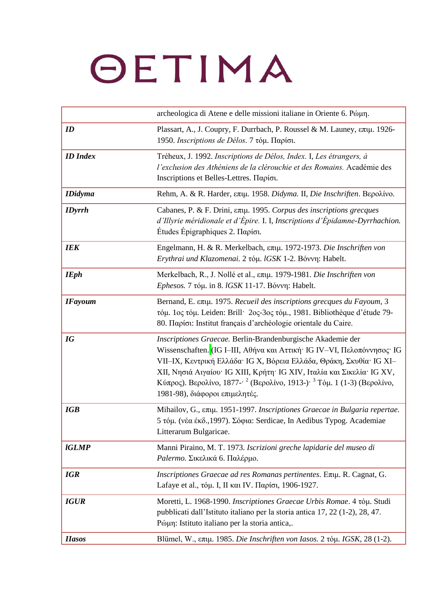|                 | archeologica di Atene e delle missioni italiane in Oriente 6. Póµn.                                                                                                                                                                                                                                                                                                                                                                               |
|-----------------|---------------------------------------------------------------------------------------------------------------------------------------------------------------------------------------------------------------------------------------------------------------------------------------------------------------------------------------------------------------------------------------------------------------------------------------------------|
| ID              | Plassart, A., J. Coupry, F. Durrbach, P. Roussel & M. Launey, επιμ. 1926-<br>1950. Inscriptions de Délos. 7 τόμ. Παρίσι.                                                                                                                                                                                                                                                                                                                          |
| <b>ID</b> Index | Tréheux, J. 1992. Inscriptions de Délos, Index. I, Les étrangers, à<br>l'exclusion des Athéniens de la clérouchie et des Romains. Académie des<br>Inscriptions et Belles-Lettres. Παρίσι.                                                                                                                                                                                                                                                         |
| <b>IDidyma</b>  | Rehm, A. & R. Harder, επιμ. 1958. Didyma. II, Die Inschriften. Βερολίνο.                                                                                                                                                                                                                                                                                                                                                                          |
| <b>IDyrrh</b>   | Cabanes, P. & F. Drini, επιμ. 1995. Corpus des inscriptions grecques<br>d'Illyrie méridionale et d'Épire. I. I, Inscriptions d'Épidamne-Dyrrhachion.<br>Études Epigraphiques 2. Παρίσι.                                                                                                                                                                                                                                                           |
| <b>IEK</b>      | Engelmann, H. & R. Merkelbach, επιμ. 1972-1973. Die Inschriften von<br>Erythrai und Klazomenai. 2 τόμ. lGSK 1-2. Βόννη: Habelt.                                                                                                                                                                                                                                                                                                                   |
| <b>IEph</b>     | Merkelbach, R., J. Nollé et al., επιμ. 1979-1981. Die Inschriften von<br>Ephesos. 7 τόμ. in 8. IGSK 11-17. Βόννη: Habelt.                                                                                                                                                                                                                                                                                                                         |
| <b>IFayoum</b>  | Bernand, Ε. επιμ. 1975. Recueil des inscriptions grecques du Fayoum, 3<br>τόμ. 1ος τόμ. Leiden: Brill 2ος-3ος τόμ., 1981. Bibliothèque d'étude 79-<br>80. Παρίσι: Institut français d'archéologie orientale du Caire.                                                                                                                                                                                                                             |
| IG              | Inscriptiones Graecae. Berlin-Brandenburgische Akademie der<br>Wissenschaften. (IG I-III, Αθήνα και Αττική· IG IV-VI, Πελοπόννησος· IG<br>VII-IX, Κεντρική Ελλάδα <sup>·</sup> IG X, Βόρεια Ελλάδα, Θράκη, Σκυθία <sup>·</sup> IG XI-<br>XII, Νησιά Αιγαίου· IG XIII, Κρήτη· IG XIV, Ιταλία και Σικελία· IG XV,<br>Κύπρος). Βερολίνο, 1877- <sup>2</sup> (Βερολίνο, 1913-) <sup>3</sup> Τόμ. 1 (1-3) (Βερολίνο,<br>1981-98), διάφοροι επιμελητές. |
| <b>IGB</b>      | Mihailov, G., επιμ. 1951-1997. Inscriptiones Graecae in Bulgaria repertae.<br>5 τόμ. (νέα έκδ., 1997). Σόφια: Serdicae, In Aedibus Typog. Academiae<br>Litterarum Bulgaricae.                                                                                                                                                                                                                                                                     |
| <b>IGLMP</b>    | Manni Piraino, M. T. 1973. Iscrizioni greche lapidarie del museo di<br>Palermo. Σικελικά 6. Παλέρμο.                                                                                                                                                                                                                                                                                                                                              |
| <b>IGR</b>      | Inscriptiones Graecae ad res Romanas pertinentes. Extu. R. Cagnat, G.<br>Lafaye et al., τόμ. Ι, ΙΙ και IV. Παρίσι, 1906-1927.                                                                                                                                                                                                                                                                                                                     |
| <b>IGUR</b>     | Moretti, L. 1968-1990. Inscriptiones Graecae Urbis Romae. 4 τόμ. Studi<br>pubblicati dall'Istituto italiano per la storia antica 17, 22 (1-2), 28, 47.<br>Pώμη: Istituto italiano per la storia antica,.                                                                                                                                                                                                                                          |
| <b>Hasos</b>    | Blümel, W., επιμ. 1985. Die Inschriften von Iasos. 2 τόμ. IGSK, 28 (1-2).                                                                                                                                                                                                                                                                                                                                                                         |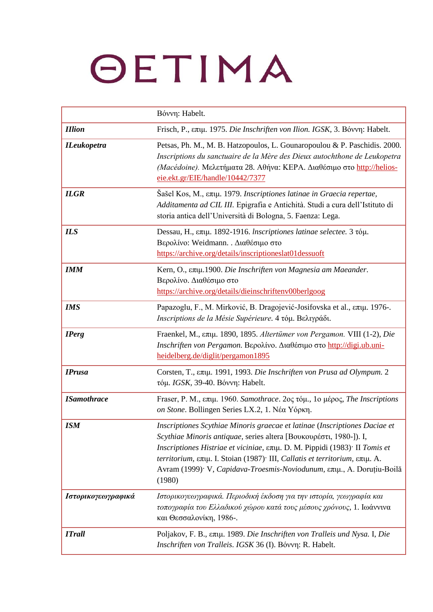|                    | Bóvvn: Habelt.                                                                                                                                                                                                                                                                                                                                                                                                                         |
|--------------------|----------------------------------------------------------------------------------------------------------------------------------------------------------------------------------------------------------------------------------------------------------------------------------------------------------------------------------------------------------------------------------------------------------------------------------------|
| <b>IIlion</b>      | Frisch, Ρ., επιμ. 1975. Die Inschriften von Ilion. IGSK, 3. Βόννη: Habelt.                                                                                                                                                                                                                                                                                                                                                             |
| <b>ILeukopetra</b> | Petsas, Ph. M., M. B. Hatzopoulos, L. Gounaropoulou & P. Paschidis. 2000.<br>Inscriptions du sanctuaire de la Mère des Dieux autochthone de Leukopetra<br>(Macédoine). Μελετήματα 28. Αθήνα: ΚΕΡΑ. Διαθέσιμο στο http://helios-<br>eie.ekt.gr/EIE/handle/10442/7377                                                                                                                                                                    |
| <b>ILGR</b>        | Šašel Kos, M., επιμ. 1979. Inscriptiones latinae in Graecia repertae,<br>Additamenta ad CIL III. Epigrafia e Antichità. Studi a cura dell'Istituto di<br>storia antica dell'Università di Bologna, 5. Faenza: Lega.                                                                                                                                                                                                                    |
| <b>ILS</b>         | Dessau, Η., επιμ. 1892-1916. Inscriptiones latinae selectee. 3 τόμ.<br>Βερολίνο: Weidmann. . Διαθέσιμο στο<br>https://archive.org/details/inscriptioneslat01dessuoft                                                                                                                                                                                                                                                                   |
| <b>IMM</b>         | Kern, Ο., επιμ.1900. Die Inschriften von Magnesia am Maeander.<br>Βερολίνο. Διαθέσιμο στο<br>https://archive.org/details/dieinschriftenv00berlgoog                                                                                                                                                                                                                                                                                     |
| <b>IMS</b>         | Papazoglu, F., M. Mirković, B. Dragojević-Josifovska et al., επιμ. 1976-.<br>Inscriptions de la Mésie Supérieure. 4 τόμ. Βελιγράδι.                                                                                                                                                                                                                                                                                                    |
| <b>IPerg</b>       | Fraenkel, M., επιμ. 1890, 1895. Altertümer von Pergamon. VIII (1-2), Die<br>Inschriften von Pergamon. Βερολίνο. Διαθέσιμο στο http://digi.ub.uni-<br>heidelberg.de/diglit/pergamon1895                                                                                                                                                                                                                                                 |
| <b>IPrusa</b>      | Corsten, Τ., επιμ. 1991, 1993. Die Inschriften von Prusa ad Olympum. 2<br>τόμ. IGSK, 39-40. Βόννη: Habelt.                                                                                                                                                                                                                                                                                                                             |
| <b>ISamothrace</b> | Fraser, Ρ. Μ., επιμ. 1960. Samothrace. 2ος τόμ., 1ο μέρος, The Inscriptions<br>on Stone. Bollingen Series LX.2, 1. Νέα Υόρκη.                                                                                                                                                                                                                                                                                                          |
| <b>ISM</b>         | Inscriptiones Scythiae Minoris graecae et latinae (Inscriptiones Daciae et<br>Scythiae Minoris antiquae, series altera [Βουκουρέστι, 1980-]). I,<br>Inscriptiones Histriae et viciniae, επιμ. D. M. Pippidi (1983) <sup>.</sup> Il Tomis et<br>territorium, επιμ. I. Stoian (1987) <sup>.</sup> III, Callatis et territorium, επιμ. A.<br>Avram (1999) <sup>·</sup> V, Capidava-Troesmis-Noviodunum, επιμ., A. Doruțiu-Boilă<br>(1980) |
| Ιστορικογεωγραφικά | Ιστορικογεωγραφικά. Περιοδική έκδοση για την ιστορία, γεωγραφία και<br>τοπογραφία του Ελλαδικού χώρου κατά τους μέσους χρόνους, 1. Ιωάννινα<br>και Θεσσαλονίκη, 1986-.                                                                                                                                                                                                                                                                 |
| <b>ITrall</b>      | Poljakov, F. B., επιμ. 1989. Die Inschriften von Tralleis und Nysa. I, Die<br>Inschriften von Tralleis. IGSK 36 (I). Bóvvn: R. Habelt.                                                                                                                                                                                                                                                                                                 |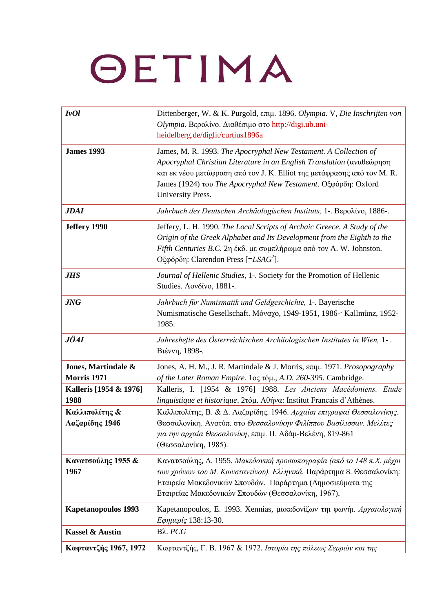| I <sub>v</sub> Ol                         | Dittenberger, W. & K. Purgold, επιμ. 1896. Olympia. V, Die Inschrijten von<br>Olympia. Βερολίνο. Διαθέσιμο στο http://digi.ub.uni-<br>heidelberg.de/diglit/curtius1896a                                                                                                                                     |
|-------------------------------------------|-------------------------------------------------------------------------------------------------------------------------------------------------------------------------------------------------------------------------------------------------------------------------------------------------------------|
| <b>James 1993</b>                         | James, M. R. 1993. The Apocryphal New Testament. A Collection of<br>Apocryphal Christian Literature in an English Translation (αναθεώρηση<br>και εκ νέου μετάφραση από τον J. K. Elliot της μετάφρασης από τον M. R.<br>James (1924) του The Apocryphal New Testament. Οξφόρδη: Oxford<br>University Press. |
| <b>JDAI</b>                               | Jahrbuch des Deutschen Archäologischen Instituts, 1-. Bepolivo, 1886-.                                                                                                                                                                                                                                      |
| Jeffery 1990                              | Jeffery, L. H. 1990. The Local Scripts of Archaic Greece. A Study of the<br>Origin of the Greek Alphabet and Its Development from the Eighth to the<br>Fifth Centuries B.C. 2η έκδ. με συμπλήρωμα από τον A.W. Johnston.<br>Oξφόρδη: Clarendon Press [=LSA $G^2$ ].                                         |
| <b>JHS</b>                                | Journal of Hellenic Studies, 1-. Society for the Promotion of Hellenic<br>Studies. Λονδίνο, 1881-.                                                                                                                                                                                                          |
| <b>JNG</b>                                | Jahrbuch für Numismatik und Geldgeschichte, 1-. Bayerische<br>Numismatische Gesellschaft. Μόναχο, 1949-1951, 1986- Kallmünz, 1952-<br>1985.                                                                                                                                                                 |
| <b>JÖAI</b>                               | Jahreshefte des Österreichischen Archäologischen Institutes in Wien, 1-.<br>Βιέννη, 1898-.                                                                                                                                                                                                                  |
| Jones, Martindale &<br><b>Morris 1971</b> | Jones, A. H. M., J. R. Martindale & J. Morris, επιμ. 1971. Prosopography<br>of the Later Roman Empire. 1ος τόμ., A.D. 260-395. Cambridge.                                                                                                                                                                   |
| Kalleris [1954 & 1976]<br>1988            | Kalleris, I. [1954 & 1976] 1988. Les Anciens Macédoniens.<br>Etude<br>linguistique et historique. 2τόμ. Αθήνα: Institut Francais d'Athénes.                                                                                                                                                                 |
| Καλλιπολίτης &<br>Λαζαρίδης 1946          | Καλλιπολίτης, Β. & Δ. Λαζαρίδης. 1946. Αρχαίαι επιγραφαί Θεσσαλονίκης.<br>Θεσσαλονίκη. Ανατύπ. στο Θεσσαλονίκην Φιλίππου Βασίλισσαν. Μελέτες<br>για την αρχαία Θεσσαλονίκη, επιμ. Π. Αδάμ-Βελένη, 819-861<br>(Θεσσαλονίκη, 1985).                                                                           |
| Κανατσούλης 1955 &<br>1967                | Κανατσούλης, Δ. 1955. Μακεδονική προσωπογραφία (από το 148 π.Χ. μέχρι<br>των χρόνων του Μ. Κωνσταντίνου). Ελληνικά. Παράρτημα 8. Θεσσαλονίκη:<br>Εταιρεία Μακεδονικών Σπουδών. Παράρτημα (Δημοσιεύματα της<br>Εταιρείας Μακεδονικών Σπουδών (Θεσσαλονίκη, 1967).                                            |
| <b>Kapetanopoulos 1993</b>                | Kapetanopoulos, E. 1993. Xennias, μακεδονίζων τηι φωνήι. Αρχαιολογική<br>Εφημερίς 138:13-30.                                                                                                                                                                                                                |
| <b>Kassel &amp; Austin</b>                | Bλ. PCG                                                                                                                                                                                                                                                                                                     |
| Καφταντζής 1967, 1972                     | Καφταντζής, Γ. Β. 1967 & 1972. Ιστορία της πόλεως Σερρών και της                                                                                                                                                                                                                                            |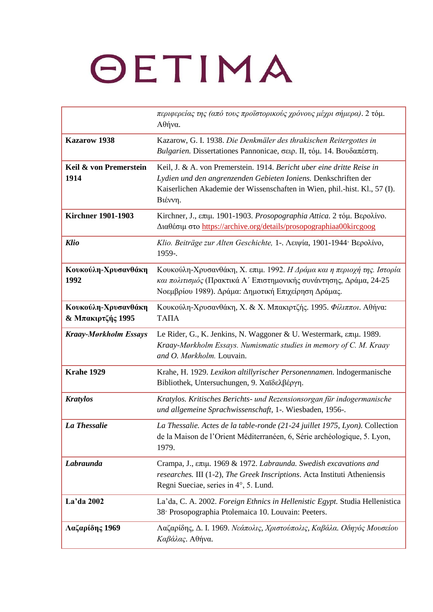|                                          | περιφερείας της (από τους προϊστορικούς χρόνους μέχρι σήμερα). 2 τόμ.<br>Αθήνα.                                                                                                                                                    |
|------------------------------------------|------------------------------------------------------------------------------------------------------------------------------------------------------------------------------------------------------------------------------------|
| <b>Kazarow 1938</b>                      | Kazarow, G. I. 1938. Die Denkmäler des thrakischen Reitergottes in<br>Bulgarien. Dissertationes Pannonicae, σειρ. Π, τόμ. 14. Βουδαπέστη.                                                                                          |
| Keil & von Premerstein<br>1914           | Keil, J. & A. von Premerstein. 1914. Bericht uber eine dritte Reise in<br>Lydien und den angrenzenden Gebieten Ioniens. Denkschriften der<br>Kaiserlichen Akademie der Wissenschaften in Wien, phil.-hist. Kl., 57 (I).<br>Βιέννη. |
| <b>Kirchner 1901-1903</b>                | Kirchner, J., επιμ. 1901-1903. Prosopographia Attica. 2 τόμ. Βερολίνο.<br>Διαθέσιμ στο https://archive.org/details/prosopographiaa00kircgoog                                                                                       |
| <b>Klio</b>                              | Klio. Beiträge zur Alten Geschichte, 1-. Λειψία, 1901-1944· Βερολίνο,<br>1959-.                                                                                                                                                    |
| Κουκούλη-Χρυσανθάκη<br>1992              | Κουκούλη-Χρυσανθάκη, Χ. επιμ. 1992. Η Δράμα και η περιοχή της. Ιστορία<br>και πολιτισμός (Πρακτικά Α' Επιστημονικής συνάντησης, Δράμα, 24-25<br>Νοεμβρίου 1989). Δράμα: Δημοτική Επιχείρηση Δράμας.                                |
| Κουκούλη-Χρυσανθάκη<br>& Μπακιρτζής 1995 | Κουκούλη-Χρυσανθάκη, Χ. & Χ. Μπακιρτζής. 1995. Φίλιπποι. Αθήνα:<br>ΤΑΠΑ                                                                                                                                                            |
| <b>Kraay-Mørkholm Essays</b>             | Le Rider, G., K. Jenkins, N. Waggoner & U. Westermark, επιμ. 1989.<br>Kraay-Mørkholm Essays. Numismatic studies in memory of C. M. Kraay<br>and O. Mørkholm. Louvain.                                                              |
| Krahe 1929                               | Krahe, H. 1929. Lexikon altillyrischer Personennamen. Indogermanische<br>Bibliothek, Untersuchungen, 9. Χαϊδελβέργη.                                                                                                               |
| <b>Kratylos</b>                          | Kratylos. Kritisches Berichts- und Rezensionsorgan für indogermanische<br>und allgemeine Sprachwissenschaft, 1-. Wiesbaden, 1956-.                                                                                                 |
| La Thessalie                             | La Thessalie. Actes de la table-ronde (21-24 juillet 1975, Lyon). Collection<br>de la Maison de l'Orient Méditerranéen, 6, Série archéologique, 5. Lyon,<br>1979.                                                                  |
| Labraunda                                | Crampa, J., επιμ. 1969 & 1972. Labraunda. Swedish excavations and<br>researches. III (1-2), The Greek Inscriptions. Acta Instituti Atheniensis<br>Regni Sueciae, series in 4°, 5. Lund.                                            |
| La'da 2002                               | La'da, C. A. 2002. Foreign Ethnics in Hellenistic Egypt. Studia Hellenistica<br>38 Prosopographia Ptolemaica 10. Louvain: Peeters.                                                                                                 |
| Λαζαρίδης 1969                           | Λαζαρίδης, Δ. Ι. 1969. Νεάπολις, Χριστούπολις, Καβάλα. Οδηγός Μουσείου<br>Καβάλας. Αθήνα.                                                                                                                                          |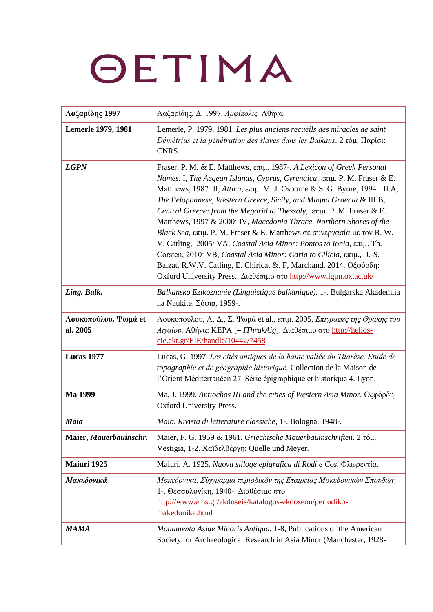| Λαζαρίδης 1997                   | Λαζαρίδης, Δ. 1997. Αμφίπολις. Αθήνα.                                                                                                                                                                                                                                                                                                                                                                                                                                                                                                                                                                                                                                                                                                                                                                                                                                                        |
|----------------------------------|----------------------------------------------------------------------------------------------------------------------------------------------------------------------------------------------------------------------------------------------------------------------------------------------------------------------------------------------------------------------------------------------------------------------------------------------------------------------------------------------------------------------------------------------------------------------------------------------------------------------------------------------------------------------------------------------------------------------------------------------------------------------------------------------------------------------------------------------------------------------------------------------|
| <b>Lemerle 1979, 1981</b>        | Lemerle, P. 1979, 1981. Les plus anciens recueils des miracles de saint<br>Démétrius et la pénétration des slaves dans les Balkans. 2 τόμ. Παρίσι:<br>CNRS.                                                                                                                                                                                                                                                                                                                                                                                                                                                                                                                                                                                                                                                                                                                                  |
| <b>LGPN</b>                      | Fraser, P. M. & E. Matthews, επιμ. 1987-. A Lexicon of Greek Personal<br>Names. I, The Aegean Islands, Cyprus, Cyrenaica, επιμ. Ρ. Μ. Fraser & E.<br>Matthews, 1987 <sup>·</sup> II, <i>Attica</i> , επιμ. Μ. J. Osborne & S. G. Byrne, 1994· III.A,<br>The Peloponnese, Western Greece, Sicily, and Magna Graecia & III.B,<br>Central Greece: from the Megarid to Thessaly, επιμ. Ρ. Μ. Fraser & E.<br>Matthews, 1997 & 2000 <sup>.</sup> IV, Macedonia Thrace, Northern Shores of the<br>Black Sea, επιμ. P. M. Fraser & E. Matthews σε συνεργασία με τον R. W.<br>V. Catling, 2005 <sup>.</sup> VA, Coastal Asia Minor: Pontos to Ionia, επιμ. Th.<br>Corsten, 2010 <sup>·</sup> VB, <i>Coastal Asia Minor: Caria to Cilicia</i> , επιμ., J.-S.<br>Balzat, R.W.V. Catling, E. Chiricat &. F, Marchand, 2014. Οξφόρδη:<br>Oxford University Press. Διαθέσιμο στο http://www.lgpn.ox.ac.uk/ |
| Ling. Balk.                      | Balkansko Ezikoznanie (Linguistique balkanique). 1-. Bulgarska Akademiia<br>na Naukite. Σόφια, 1959-.                                                                                                                                                                                                                                                                                                                                                                                                                                                                                                                                                                                                                                                                                                                                                                                        |
| Λουκοπούλου, Ψωμά et<br>al. 2005 | Λουκοπούλου, Λ. Δ., Σ. Ψωμά et al., επιμ. 2005. Επιγραφές της Θράκης του<br><i>Αιγαίου</i> . Αθήνα: ΚΕΡΑ [= <i>IThrakAig</i> ]. Διαθέσιμο στο http://helios-<br>eie.ekt.gr/EIE/handle/10442/7458                                                                                                                                                                                                                                                                                                                                                                                                                                                                                                                                                                                                                                                                                             |
| Lucas 1977                       | Lucas, G. 1997. Les cités antiques de la haute vallée du Titarèse. Étude de<br>topographie et de géographie historique. Collection de la Maison de<br>l'Orient Méditerranéen 27. Série épigraphique et historique 4. Lyon.                                                                                                                                                                                                                                                                                                                                                                                                                                                                                                                                                                                                                                                                   |
| Ma 1999                          | Ma, J. 1999. Antiochos III and the cities of Western Asia Minor. Οξφόρδη:<br>Oxford University Press.                                                                                                                                                                                                                                                                                                                                                                                                                                                                                                                                                                                                                                                                                                                                                                                        |
| Maia                             | Maia. Rivista di letterature classiche, 1-. Bologna, 1948-.                                                                                                                                                                                                                                                                                                                                                                                                                                                                                                                                                                                                                                                                                                                                                                                                                                  |
| Maier, Mauerbauinschr.           | Maier, F. G. 1959 & 1961. Griechische Mauerbauinschriften. 2 τόμ.<br>Vestigia, 1-2. Χαϊδελβέργη: Quelle und Meyer.                                                                                                                                                                                                                                                                                                                                                                                                                                                                                                                                                                                                                                                                                                                                                                           |
| Maiuri 1925                      | Maiuri, A. 1925. Nuova silloge epigrafica di Rodi e Cos. Φλωρεντία.                                                                                                                                                                                                                                                                                                                                                                                                                                                                                                                                                                                                                                                                                                                                                                                                                          |
| Μακεδονικά                       | Μακεδονικά. Σύγγραμμα περιοδικόν της Εταιρείας Μακεδονικών Σπουδών,<br>1-. Θεσσαλονίκη, 1940-. Διαθέσιμο στο<br>http://www.ems.gr/ekdoseis/katalogos-ekdoseon/periodiko-<br>makedonika.html                                                                                                                                                                                                                                                                                                                                                                                                                                                                                                                                                                                                                                                                                                  |
| <b>MAMA</b>                      | Monumenta Asiae Minoris Antiqua. 1-8, Publications of the American<br>Society for Archaeological Research in Asia Minor (Manchester, 1928-                                                                                                                                                                                                                                                                                                                                                                                                                                                                                                                                                                                                                                                                                                                                                   |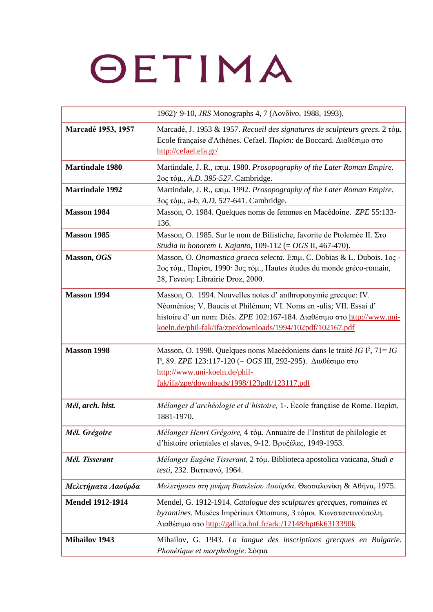|                         | 1962) <sup>·</sup> 9-10, <i>JRS</i> Monographs 4, 7 (Λονδίνο, 1988, 1993).                                                                                                                                                                                                    |
|-------------------------|-------------------------------------------------------------------------------------------------------------------------------------------------------------------------------------------------------------------------------------------------------------------------------|
| Marcadé 1953, 1957      | Marcadé, J. 1953 & 1957. Recueil des signatures de sculpteurs grecs. 2 tóµ.<br>Ecole française d'Athènes. Cefael. Παρίσι: de Boccard. Διαθέσιμο στο<br>http://cefael.efa.gr/                                                                                                  |
| <b>Martindale 1980</b>  | Martindale, J. R., επιμ. 1980. Prosopography of the Later Roman Empire.<br>2ος τόμ., A.D. 395-527. Cambridge.                                                                                                                                                                 |
| <b>Martindale 1992</b>  | Martindale, J. R., επιμ. 1992. Prosopography of the Later Roman Empire.<br>3ος τόμ., a-b, A.D. 527-641. Cambridge.                                                                                                                                                            |
| <b>Masson 1984</b>      | Masson, O. 1984. Quelques noms de femmes en Macédoine. ZPE 55:133-<br>136.                                                                                                                                                                                                    |
| <b>Masson 1985</b>      | Masson, O. 1985. Sur le nom de Bilistiche, favorite de Ptolemée II. Στο<br><i>Studia in honorem I. Kajanto, 109-112 (= OGS II, 467-470).</i>                                                                                                                                  |
| Masson, OGS             | Masson, O. Onomastica graeca selecta. Επιμ. C. Dobias & L. Dubois. 1ος -<br>2ος τόμ., Παρίσι, 1990· 3ος τόμ., Hautes études du monde gréco-romain,<br>28, Γενεύη: Librairie Droz, 2000.                                                                                       |
| <b>Masson 1994</b>      | Masson, O. 1994. Nouvelles notes d'anthroponymie grecque: IV.<br>Néomènios; V. Baucis et Philémon; VI. Noms en -ulis; VII. Essai d'<br>histoire d' un nom: Diês. ZPE 102:167-184. Διαθέσιμο στο http://www.uni-<br>koeln.de/phil-fak/ifa/zpe/downloads/1994/102pdf/102167.pdf |
| <b>Masson 1998</b>      | Masson, O. 1998. Quelques noms Macédoniens dans le traité IG $I^2$ , $71 = IG$<br><sup>13</sup> , 89. <i>ZPE</i> 123:117-120 (= <i>OGS</i> III, 292-295). Διαθέσιμο στο<br>http://www.uni-koeln.de/phil-<br>fak/ifa/zpe/downloads/1998/123pdf/123117.pdf                      |
| Mél, arch. hist.        | Mélanges d'archéologie et d'histoire, 1-. École française de Rome. Παρίσι,<br>1881-1970.                                                                                                                                                                                      |
| Mél. Grégoire           | Mélanges Henri Grégoire, 4 τόμ. Annuaire de l'Institut de philologie et<br>d'histoire orientales et slaves, 9-12. Βρυξέλες, 1949-1953.                                                                                                                                        |
| Mél. Tisserant          | Mélanges Eugène Tisserant, 2 tóµ. Biblioteca apostolica vaticana, Studi e<br>testi, 232. Βατικανό, 1964.                                                                                                                                                                      |
| Μελετήματα Λαούρδα      | Μελετήματα στη μνήμη Βασιλείου Λαούρδα. Θεσσαλονίκη & Αθήνα, 1975.                                                                                                                                                                                                            |
| <b>Mendel 1912-1914</b> | Mendel, G. 1912-1914. Catalogue des sculptures grecques, romaines et<br>byzantines. Musées Impériaux Ottomans, 3 τόμοι. Κωνσταντινούπολη.<br>Διαθέσιμο στο http://gallica.bnf.fr/ark:/12148/bpt6k6313390k                                                                     |
| <b>Mihailov 1943</b>    | Mihailov, G. 1943. La langue des inscriptions grecques en Bulgarie.<br>Phonétique et morphologie. Σόφια                                                                                                                                                                       |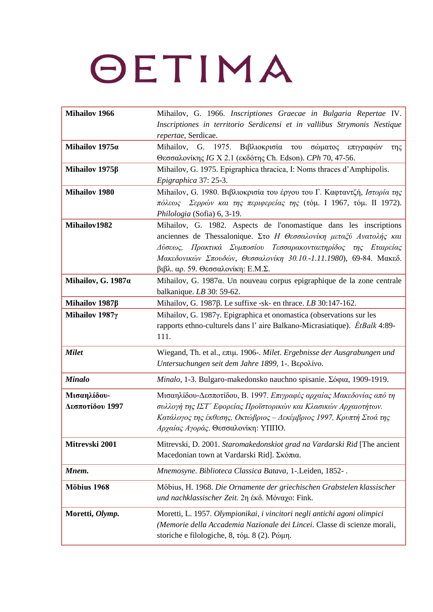| <b>Mihailov 1966</b>           | Mihailov, G. 1966. Inscriptiones Graecae in Bulgaria Repertae IV.<br>Inscriptiones in territorio Serdicensi et in vallibus Strymonis Nestique<br>repertae, Serdicae.                                                                                                                                                 |
|--------------------------------|----------------------------------------------------------------------------------------------------------------------------------------------------------------------------------------------------------------------------------------------------------------------------------------------------------------------|
| Mihailov 1975a                 | Mihailov, G. 1975.<br>Βιβλιοκρισία του<br>σώματος<br>επιγραφών<br>$\tau \eta \varsigma$<br>Θεσσαλονίκης IG X 2.1 (εκδότης Ch. Edson). CPh 70, 47-56.                                                                                                                                                                 |
| Mihailov $1975\beta$           | Mihailov, G. 1975. Epigraphica thracica, I: Noms thraces d'Amphipolis.<br>Epigraphica 37: 25-3.                                                                                                                                                                                                                      |
| <b>Mihailov 1980</b>           | Mihailov, G. 1980. Βιβλιοκρισία του έργου του Γ. Καφταντζή, Ιστορία της<br>πόλεως Σερρών και της περιφερείας της (τόμ. Ι 1967, τόμ. ΙΙ 1972).<br>Philologia (Sofia) 6, 3-19.                                                                                                                                         |
| Mihailov1982                   | Mihailov, G. 1982. Aspects de l'onomastique dans les inscriptions<br>anciennes de Thessalonique. Στο Η Θεσσαλονίκη μεταξύ Ανατολής και<br>Δύσεως, Πρακτικά Συμποσίου Τεσσαρακονταετηρίδος της Εταιρείας<br>Μακεδονικών Σπουδών, Θεσσαλονίκη 30.10.-1.11.1980), 69-84. Μακεδ.<br>$βιβλ$ . αρ. 59. Θεσσαλονίκη: Ε.Μ.Σ. |
| Mihailov, G. 1987a             | Mihailov, G. 1987 $\alpha$ . Un nouveau corpus epigraphique de la zone centrale<br>balkanique. $LB$ 30: 59-62.                                                                                                                                                                                                       |
| Mihailov $1987\beta$           | Mihailov, G. 1987 $\beta$ . Le suffixe -sk- en thrace. LB 30:147-162.                                                                                                                                                                                                                                                |
| Mihailov 1987γ                 | Mihailov, G. 1987γ. Epigraphica et onomastica (observations sur les<br>rapports ethno-culturels dans l'aire Balkano-Micrasiatique). <i>ÉtBalk</i> 4:89-<br>111.                                                                                                                                                      |
| <b>Milet</b>                   | Wiegand, Th. et al., επιμ. 1906-. Milet. Ergebnisse der Ausgrabungen und<br>Untersuchungen seit dem Jahre 1899, 1-. Βερολίνο.                                                                                                                                                                                        |
| <b>Minalo</b>                  | Minalo, 1-3. Bulgaro-makedonsko nauchno spisanie. Σόφια, 1909-1919.                                                                                                                                                                                                                                                  |
| Μισαηλίδου-<br>Δεσποτίδου 1997 | Μισαηλίδου-Δεσποτίδου, Β. 1997. Επιγραφές αρχαίας Μακεδονίας από τη<br>συλλογή της ΙΣΤ' Εφορείας Προϊστορικών και Κλασικών Αρχαιοτήτων.<br>Κατάλογος της έκθεσης, Οκτώβριος - Δεκέμβριος 1997, Κρυπτή Στοά της<br>Αρχαίας Αγοράς. Θεσσαλονίκη: ΥΠΠΟ.                                                                 |
| Mitrevski 2001                 | Mitrevski, D. 2001. Staromakedonskiot grad na Vardarski Rid [The ancient]<br>Macedonian town at Vardarski Rid]. Σκόπια.                                                                                                                                                                                              |
| Mnem.                          | Mnemosyne. Biblioteca Classica Batava, 1-.Leiden, 1852-.                                                                                                                                                                                                                                                             |
| Möbius 1968                    | Möbius, H. 1968. Die Ornamente der griechischen Grabstelen klassischer<br>und nachklassischer Zeit. 2η έκδ. Μόναχο: Fink.                                                                                                                                                                                            |
| Moretti, Olymp.                | Moretti, L. 1957. Olympionikai, i vincitori negli antichi agoni olimpici<br>(Memorie della Accademia Nazionale dei Lincei. Classe di scienze morali,<br>storiche e filologiche, 8, τόμ. 8 (2). Ρώμη.                                                                                                                 |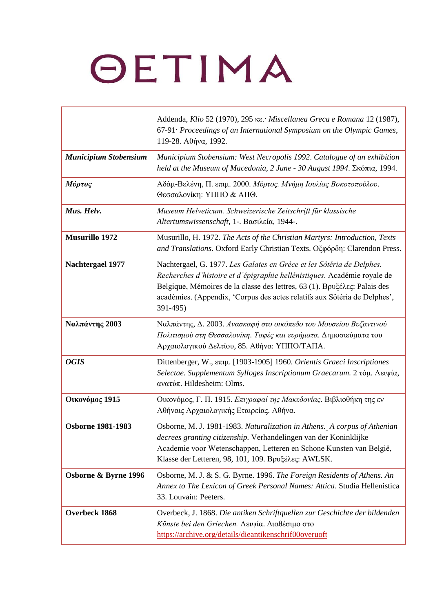|                              | Addenda, Klio 52 (1970), 295 KE. Miscellanea Greca e Romana 12 (1987),<br>67-91 <sup>.</sup> Proceedings of an International Symposium on the Olympic Games,<br>119-28. Αθήνα, 1992.                                                                                                                                    |
|------------------------------|-------------------------------------------------------------------------------------------------------------------------------------------------------------------------------------------------------------------------------------------------------------------------------------------------------------------------|
| <b>Municipium Stobensium</b> | Municipium Stobensium: West Necropolis 1992. Catalogue of an exhibition<br>held at the Museum of Macedonia, 2 June - 30 August 1994. Σκόπια, 1994.                                                                                                                                                                      |
| Μύρτος                       | Αδάμ-Βελένη, Π. επιμ. 2000. Μύρτος. Μνήμη Ιουλίας Βοκοτοπούλου.<br>Θεσσαλονίκη: ΥΠΠΟ & ΑΠΘ.                                                                                                                                                                                                                             |
| Mus. Helv.                   | Museum Helveticum. Schweizerische Zeitschrift für klassische<br>Altertumswissenschaft, 1-. Βασιλεία, 1944-.                                                                                                                                                                                                             |
| <b>Musurillo 1972</b>        | Musurillo, H. 1972. The Acts of the Christian Martyrs: Introduction, Texts<br>and Translations. Oxford Early Christian Texts. Oξφόρδη: Clarendon Press.                                                                                                                                                                 |
| <b>Nachtergael 1977</b>      | Nachtergael, G. 1977. Les Galates en Grèce et les Sôtéria de Delphes.<br>Recherches d'histoire et d'épigraphie hellénistiques. Académie royale de<br>Belgique, Mémoires de la classe des lettres, 63 (1). Bpvξέλες: Palais des<br>académies. (Appendix, 'Corpus des actes relatifs aux Sôtéria de Delphes',<br>391-495) |
| Ναλπάντης 2003               | Ναλπάντης, Δ. 2003. Ανασκαφή στο οικόπεδο του Μουσείου Βυζαντινού<br>Πολιτισμού στη Θεσσαλονίκη. Ταφές και ευρήματα. Δημοσιεύματα του<br>Αρχαιολογικού Δελτίου, 85. Αθήνα: ΥΠΠΟ/ΤΑΠΑ.                                                                                                                                   |
| <b>OGIS</b>                  | Dittenberger, W., επιμ. [1903-1905] 1960. Orientis Graeci Inscriptiones<br>Selectae. Supplementum Sylloges Inscriptionum Graecarum. 2 τόμ. Λειψία,<br>ανατύπ. Hildesheim: Olms.                                                                                                                                         |
| Οικονόμος 1915               | Οικονόμος, Γ. Π. 1915. Επιγραφαί της Μακεδονίας. Βιβλιοθήκη της εν<br>Αθήναις Αρχαιολογικής Εταιρείας. Αθήνα.                                                                                                                                                                                                           |
| <b>Osborne 1981-1983</b>     | Osborne, M. J. 1981-1983. Naturalization in Athens. A corpus of Athenian<br>decrees granting citizenship. Verhandelingen van der Koninklijke<br>Academie voor Wetenschappen, Letteren en Schone Kunsten van België,<br>Klasse der Letteren, 98, 101, 109. Βρυξέλες: AWLSK.                                              |
| Osborne & Byrne 1996         | Osborne, M. J. & S. G. Byrne. 1996. The Foreign Residents of Athens. An<br>Annex to The Lexicon of Greek Personal Names: Attica. Studia Hellenistica<br>33. Louvain: Peeters.                                                                                                                                           |
| Overbeck 1868                | Overbeck, J. 1868. Die antiken Schriftquellen zur Geschichte der bildenden<br>Künste bei den Griechen. Λειψία. Διαθέσιμο στο<br>https://archive.org/details/dieantikenschrif00overuoft                                                                                                                                  |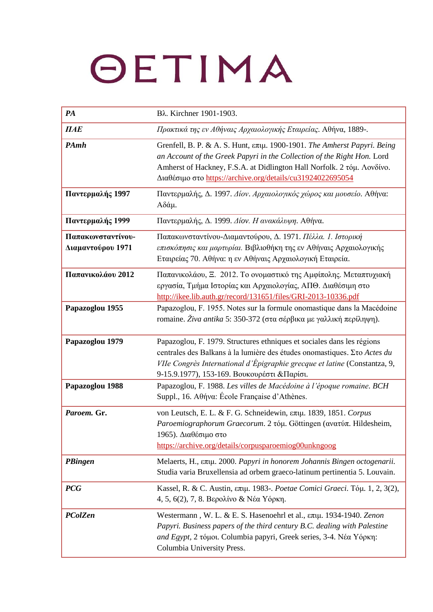| PA                                               | Βλ. Kirchner 1901-1903.                                                                                                                                                                                                                                                                     |
|--------------------------------------------------|---------------------------------------------------------------------------------------------------------------------------------------------------------------------------------------------------------------------------------------------------------------------------------------------|
| $\boldsymbol{\Pi} \boldsymbol{A} \boldsymbol{E}$ | Πρακτικά της εν Αθήναις Αρχαιολογικής Εταιρείας. Αθήνα, 1889-.                                                                                                                                                                                                                              |
| PAmh                                             | Grenfell, B. P. & A. S. Hunt, επιμ. 1900-1901. The Amherst Papyri. Being<br>an Account of the Greek Papyri in the Collection of the Right Hon. Lord<br>Amherst of Hackney, F.S.A. at Didlington Hall Norfolk. 2 τόμ. Λονδίνο.<br>Διαθέσιμο στο https://archive.org/details/cu31924022695054 |
| Παντερμαλής 1997                                 | Παντερμαλής, Δ. 1997. Δίον. Αρχαιολογικός χώρος και μουσείο. Αθήνα:<br>Αδάμ.                                                                                                                                                                                                                |
| Παντερμαλής 1999                                 | Παντερμαλής, Δ. 1999. Δίον. Η ανακάλυψη. Αθήνα.                                                                                                                                                                                                                                             |
| Παπακωνσταντίνου-<br>Διαμαντούρου 1971           | Παπακωνσταντίνου-Διαμαντούρου, Δ. 1971. Πέλλα. 1. Ιστορική<br>επισκόπησις και μαρτυρίαι. Βιβλιοθήκη της εν Αθήναις Αρχαιολογικής<br>Εταιρείας 70. Αθήνα: η εν Αθήναις Αρχαιολογική Εταιρεία.                                                                                                |
| Παπανικολάου 2012                                | Παπανικολάου, Ξ. 2012. Το ονομαστικό της Αμφίπολης. Μεταπτυχιακή<br>εργασία, Τμήμα Ιστορίας και Αρχαιολογίας, ΑΠΘ. Διαθέσιμη στο<br>http://ikee.lib.auth.gr/record/131651/files/GRI-2013-10336.pdf                                                                                          |
| Papazoglou 1955                                  | Papazoglou, F. 1955. Notes sur la formule onomastique dans la Macédoine<br>romaine. Živa antika 5: 350-372 (στα σέρβικα με γαλλική περίληψη).                                                                                                                                               |
| Papazoglou 1979                                  | Papazoglou, F. 1979. Structures ethniques et sociales dans les régions<br>centrales des Balkans à la lumière des études onomastiques. Eto Actes du<br>VIIe Congrès International d'Épigraphie grecque et latine (Constantza, 9,<br>9-15.9.1977), 153-169. Βουκουρέστι &Παρίσι.              |
| Papazoglou 1988                                  | Papazoglou, F. 1988. Les villes de Macédoine à l'époque romaine. BCH<br>Suppl., 16. Αθήνα: École Française d'Athènes.                                                                                                                                                                       |
| Paroem. Gr.                                      | von Leutsch, E. L. & F. G. Schneidewin, επιμ. 1839, 1851. Corpus<br>Paroemiographorum Graecorum. 2 τόμ. Göttingen (ανατύπ. Hildesheim,<br>1965). Διαθέσιμο στο<br>https://archive.org/details/corpusparoemiog00unkngoog                                                                     |
| PBingen                                          | Melaerts, Η., επιμ. 2000. Papyri in honorem Johannis Bingen octogenarii.<br>Studia varia Bruxellensia ad orbem graeco-latinum pertinentia 5. Louvain.                                                                                                                                       |
| <b>PCG</b>                                       | Kassel, R. & C. Austin, επιμ. 1983-. Poetae Comici Graeci. Τόμ. 1, 2, 3(2),<br>4, 5, 6(2), 7, 8. Βερολίνο & Νέα Υόρκη.                                                                                                                                                                      |
| PColZen                                          | Westermann, W. L. & E. S. Hasenoehrl et al., επιμ. 1934-1940. Zenon<br>Papyri. Business papers of the third century B.C. dealing with Palestine<br>and Egypt, 2 τόμοι. Columbia papyri, Greek series, 3-4. Νέα Υόρκη:<br>Columbia University Press.                                         |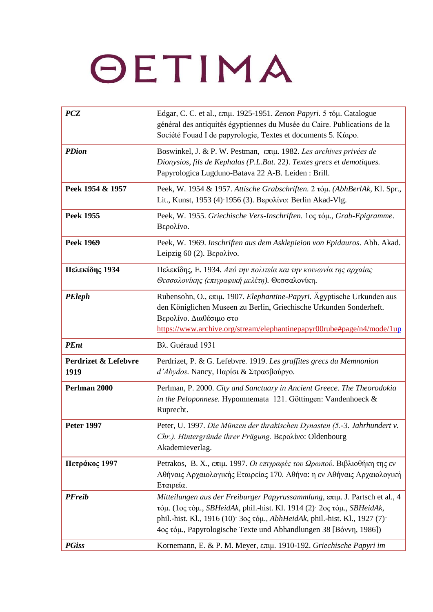| <b>PCZ</b>                   | Edgar, C. C. et al., επιμ. 1925-1951. Zenon Papyri. 5 τόμ. Catalogue<br>général des antiquités égyptiennes du Musée du Caire. Publications de la<br>Société Fouad I de papyrologie, Textes et documents 5. Κάιρο.                                                                                                 |
|------------------------------|-------------------------------------------------------------------------------------------------------------------------------------------------------------------------------------------------------------------------------------------------------------------------------------------------------------------|
| <b>PDion</b>                 | Boswinkel, J. & P. W. Pestman, επιμ. 1982. Les archives privées de<br>Dionysios, fils de Kephalas (P.L.Bat. 22). Textes grecs et demotiques.<br>Papyrologica Lugduno-Batava 22 A-B. Leiden : Brill.                                                                                                               |
| Peek 1954 & 1957             | Peek, W. 1954 & 1957. Attische Grabschriften. 2 τόμ. (AbhBerlAk, Kl. Spr.,<br>Lit., Kunst, 1953 (4) 1956 (3). Βερολίνο: Berlin Akad-Vlg.                                                                                                                                                                          |
| <b>Peek 1955</b>             | Peek, W. 1955. Griechische Vers-Inschriften. 1ος τόμ., Grab-Epigramme.<br>Βερολίνο.                                                                                                                                                                                                                               |
| <b>Peek 1969</b>             | Peek, W. 1969. Inschriften aus dem Asklepieion von Epidauros. Abh. Akad.<br>Leipzig $60(2)$ . Βερολίνο.                                                                                                                                                                                                           |
| Πελεκίδης 1934               | Πελεκίδης, Ε. 1934. Από την πολιτεία και την κοινωνία της αρχαίας<br>Θεσσαλονίκης (επιγραφική μελέτη). Θεσσαλονίκη.                                                                                                                                                                                               |
| <b>PEleph</b>                | Rubensohn, O., επιμ. 1907. Elephantine-Papyri. Ägyptische Urkunden aus<br>den Königlichen Museen zu Berlin, Griechische Urkunden Sonderheft.<br>Βερολίνο. Διαθέσιμο στο<br>https://www.archive.org/stream/elephantinepapyr00rube#page/n4/mode/1up                                                                 |
| <b>PEnt</b>                  | Βλ. Guéraud 1931                                                                                                                                                                                                                                                                                                  |
| Perdrizet & Lefebvre<br>1919 | Perdrizet, P. & G. Lefebvre. 1919. Les graffites grecs du Memnonion<br>d'Abydos. Nancy, Παρίσι & Στρασβούργο.                                                                                                                                                                                                     |
| Perlman 2000                 | Perlman, P. 2000. City and Sanctuary in Ancient Greece. The Theorodokia<br>in the Peloponnese. Hypomnemata 121. Göttingen: Vandenhoeck &<br>Ruprecht.                                                                                                                                                             |
| <b>Peter 1997</b>            | Peter, U. 1997. Die Münzen der thrakischen Dynasten (5.-3. Jahrhundert v.<br>Chr.). Hintergründe ihrer Prägung. Bepolivo: Oldenbourg<br>Akademieverlag.                                                                                                                                                           |
| Πετράκος 1997                | Petrakos, B. X., επιμ. 1997. Οι επιγραφές του Ωρωπού. Βιβλιοθήκη της εν<br>Αθήναις Αρχαιολογικής Εταιρείας 170. Αθήνα: η εν Αθήναις Αρχαιολογική<br>Εταιρεία.                                                                                                                                                     |
| <b>PFreib</b>                | Mitteilungen aus der Freiburger Papyrussammlung, επιμ. J. Partsch et al., 4<br>τόμ. (1ος τόμ., SBHeidAk, phil.-hist. Kl. 1914 (2) 2ος τόμ., SBHeidAk,<br>phil.-hist. Kl., 1916 (10)· 3ος τόμ., <i>AbhHeidAk</i> , phil.-hist. Kl., 1927 (7)·<br>4ος τόμ., Papyrologische Texte und Abhandlungen 38 [Βόννη, 1986]) |
| <b>PGiss</b>                 | Kornemann, E. & P. M. Meyer, επιμ. 1910-192. Griechische Papyri im                                                                                                                                                                                                                                                |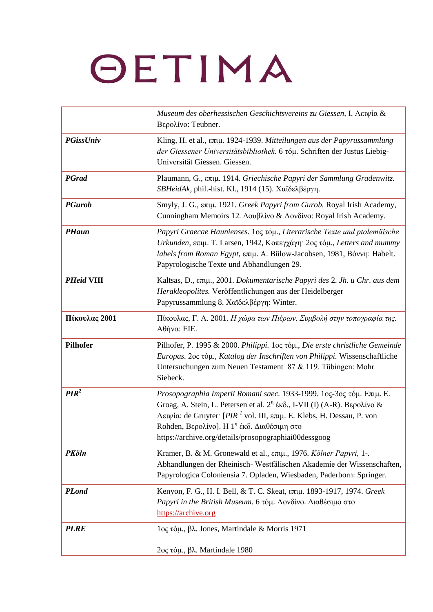|                   | Museum des oberhessischen Geschichtsvereins zu Giessen, I. Λειψία &<br>Βερολίνο: Teubner.                                                                                                                                                                                                                                                                    |
|-------------------|--------------------------------------------------------------------------------------------------------------------------------------------------------------------------------------------------------------------------------------------------------------------------------------------------------------------------------------------------------------|
| <b>PGissUniv</b>  | Kling, H. et al., επιμ. 1924-1939. Mitteilungen aus der Papyrussammlung<br>der Giessener Universitätsbibliothek. 6 tóµ. Schriften der Justus Liebig-<br>Universität Giessen. Giessen.                                                                                                                                                                        |
| <b>PGrad</b>      | Plaumann, G., επιμ. 1914. Griechische Papyri der Sammlung Gradenwitz.<br>SBHeidAk, phil.-hist. Kl., 1914 (15). Χαϊδελβέργη.                                                                                                                                                                                                                                  |
| <b>PGurob</b>     | Smyly, J. G., επιμ. 1921. Greek Papyri from Gurob. Royal Irish Academy,<br>Cunningham Memoirs 12. Δουβλίνο & Λονδίνο: Royal Irish Academy.                                                                                                                                                                                                                   |
| <b>PHaun</b>      | Papyri Graecae Haunienses. 10ς τόμ., Literarische Texte und ptolemäische<br>Urkunden, επιμ. Τ. Larsen, 1942, Κοπεγχάγη· 2ος τόμ., Letters and mummy<br>labels from Roman Egypt, επιμ. A. Bülow-Jacobsen, 1981, Βόννη: Habelt.<br>Papyrologische Texte und Abhandlungen 29.                                                                                   |
| <b>PHeid VIII</b> | Kaltsas, D., επιμ., 2001. Dokumentarische Papyri des 2. Jh. u Chr. aus dem<br>Herakleopolites. Veröffentlichungen aus der Heidelberger<br>Papyrussammlung 8. Χαϊδελβέργη: Winter.                                                                                                                                                                            |
| Πίκουλας 2001     | Πίκουλας, Γ. Α. 2001. Η χώρα των Πιέρων. Συμβολή στην τοπογραφία της.<br>Αθήνα: ΕΙΕ.                                                                                                                                                                                                                                                                         |
| <b>Pilhofer</b>   | Pilhofer, P. 1995 & 2000. Philippi. 1ος τόμ., Die erste christliche Gemeinde<br>Europas. 2ος τόμ., Katalog der Inschriften von Philippi. Wissenschaftliche<br>Untersuchungen zum Neuen Testament 87 & 119. Tübingen: Mohr<br>Siebeck.                                                                                                                        |
| PIR <sup>2</sup>  | Prosopographia Imperii Romani saec. 1933-1999. 1ος-3ος τόμ. Επιμ. Ε.<br>Groag, A. Stein, L. Petersen et al. $2^{n}$ έκδ., I-VII (I) (A-R). Βερολίνο &<br>Λειψία: de Gruyter [PIR <sup>1</sup> vol. III, επιμ. E. Klebs, H. Dessau, P. von<br>Rohden, Βερολίνο]. Η 1 <sup>η</sup> έκδ. Διαθέσιμη στο<br>https://archive.org/details/prosopographiai00dessgoog |
| <b>PKöln</b>      | Kramer, B. & M. Gronewald et al., επιμ., 1976. Kölner Papyri, 1-.<br>Abhandlungen der Rheinisch-Westfälischen Akademie der Wissenschaften,<br>Papyrologica Coloniensia 7. Opladen, Wiesbaden, Paderborn: Springer.                                                                                                                                           |
| <b>PLond</b>      | Kenyon, F. G., H. I. Bell, & T. C. Skeat, επιμ. 1893-1917, 1974. Greek<br>Papyri in the British Museum. 6 τόμ. Λονδίνο. Διαθέσιμο στο<br>https://archive.org                                                                                                                                                                                                 |
| <b>PLRE</b>       | 1ος τόμ., βλ. Jones, Martindale & Morris 1971<br>2ος τόμ., βλ. Martindale 1980                                                                                                                                                                                                                                                                               |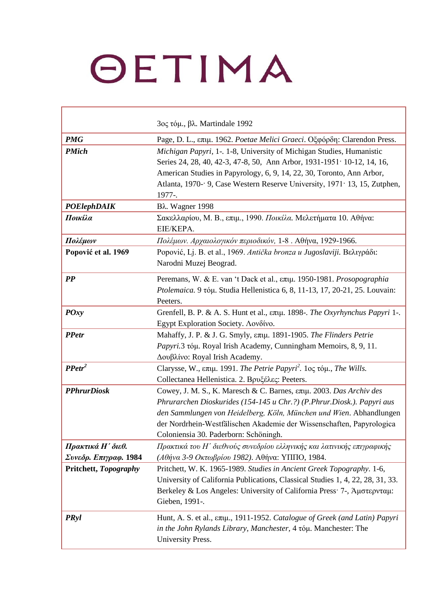|                                            | 3ος τόμ., βλ. Martindale 1992                                                                                                                                                                                                                                                                                                          |
|--------------------------------------------|----------------------------------------------------------------------------------------------------------------------------------------------------------------------------------------------------------------------------------------------------------------------------------------------------------------------------------------|
| <b>PMG</b>                                 | Page, D. L., επιμ. 1962. Poetae Melici Graeci. Οξφόρδη: Clarendon Press.                                                                                                                                                                                                                                                               |
| <b>PMich</b>                               | Michigan Papyri, 1-. 1-8, University of Michigan Studies, Humanistic<br>Series 24, 28, 40, 42-3, 47-8, 50, Ann Arbor, 1931-1951 10-12, 14, 16,<br>American Studies in Papyrology, 6, 9, 14, 22, 30, Toronto, Ann Arbor,<br>Atlanta, 1970 - 9, Case Western Reserve University, 1971 13, 15, Zutphen,<br>1977-.                         |
| <b>POElephDAIK</b>                         | Bλ. Wagner 1998                                                                                                                                                                                                                                                                                                                        |
| Ποικίλα                                    | Σακελλαρίου, Μ. Β., επιμ., 1990. Ποικίλα. Μελετήματα 10. Αθήνα:<br>EIE/KEPA.                                                                                                                                                                                                                                                           |
| Πολέμων                                    | Πολέμων. Αρχαιολογικόν περιοδικόν, 1-8. Αθήνα, 1929-1966.                                                                                                                                                                                                                                                                              |
| Popović et al. 1969                        | Popović, Lj. B. et al., 1969. Antička bronza u Jugoslaviji. Βελιγράδι:<br>Narodni Muzej Beograd.                                                                                                                                                                                                                                       |
| $\boldsymbol{PP}$                          | Peremans, W. & E. van 't Dack et al., επιμ. 1950-1981. Prosopographia<br>Ptolemaica. 9 τόμ. Studia Hellenistica 6, 8, 11-13, 17, 20-21, 25. Louvain:<br>Peeters.                                                                                                                                                                       |
| $\boldsymbol{POxy}$                        | Grenfell, B. P. & A. S. Hunt et al., επιμ. 1898-. The Oxyrhynchus Papyri 1-.<br>Egypt Exploration Society. Λονδίνο.                                                                                                                                                                                                                    |
| <b>PPetr</b>                               | Mahaffy, J. P. & J. G. Smyly, επιμ. 1891-1905. The Flinders Petrie<br>Papyri.3 tóµ. Royal Irish Academy, Cunningham Memoirs, 8, 9, 11.<br>Δουβλίνο: Royal Irish Academy.                                                                                                                                                               |
| $\textbf{PPetr}^2$                         | Clarysse, W., $\epsilon \pi \mu$ . 1991. The Petrie Papyri <sup>2</sup> . 10ς τόμ., The Wills.<br>Collectanea Hellenistica. 2. Βρυξέλες: Peeters.                                                                                                                                                                                      |
| <b>PPhrurDiosk</b>                         | Cowey, J. M. S., K. Maresch & C. Barnes, επιμ. 2003. Das Archiv des<br>Phrurarchen Dioskurides (154-145 u Chr.?) (P.Phrur.Diosk.). Papyri aus<br>den Sammlungen von Heidelberg, Köln, München und Wien. Abhandlungen<br>der Nordrhein-Westfälischen Akademie der Wissenschaften, Papyrologica<br>Coloniensia 30. Paderborn: Schöningh. |
| Πρακτικά Η' διεθ.<br>Συνεδρ. Επιγραφ. 1984 | Πρακτικά του Η' διεθνούς συνεδρίου ελληνικής και λατινικής επιγραφικής<br>(Αθήνα 3-9 Οκτωβρίου 1982). Αθήνα: ΥΠΠΟ, 1984.                                                                                                                                                                                                               |
| Pritchett, Topography                      | Pritchett, W. K. 1965-1989. Studies in Ancient Greek Topography. 1-6,<br>University of California Publications, Classical Studies 1, 4, 22, 28, 31, 33.<br>Berkeley & Los Angeles: University of California Press: 7-, Άμστερνταμ:<br>Gieben, 1991-.                                                                                   |
| <b>PRyl</b>                                | Hunt, A. S. et al., επιμ., 1911-1952. Catalogue of Greek (and Latin) Papyri<br>in the John Rylands Library, Manchester, 4 tóµ. Manchester: The<br>University Press.                                                                                                                                                                    |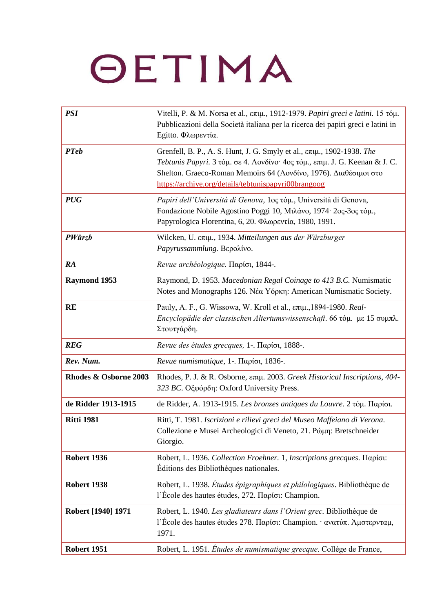| <b>PSI</b>            | Vitelli, P. & M. Norsa et al., επιμ., 1912-1979. Papiri greci e latini. 15 τόμ.<br>Pubblicazioni della Società italiana per la ricerca dei papiri greci e latini in<br>Egitto. Φλωρεντία.                                                                                         |
|-----------------------|-----------------------------------------------------------------------------------------------------------------------------------------------------------------------------------------------------------------------------------------------------------------------------------|
| <b>PTeb</b>           | Grenfell, B. P., A. S. Hunt, J. G. Smyly et al., επιμ., 1902-1938. The<br>Tebtunis Papyri. 3 τόμ. σε 4. Λονδίνο· 4ος τόμ., επιμ. J. G. Keenan & J. C.<br>Shelton. Graeco-Roman Memoirs 64 (Λονδίνο, 1976). Διαθέσιμοι στο<br>https://archive.org/details/tebtunispapyri00brangoog |
| <b>PUG</b>            | Papiri dell'Università di Genova, 10ς τόμ., Università di Genova,<br>Fondazione Nobile Agostino Poggi 10, Μιλάνο, 1974· 2ος-3ος τόμ.,<br>Papyrologica Florentina, 6, 20. Φλωρεντία, 1980, 1991.                                                                                   |
| <b>PWürzb</b>         | Wilcken, U. επιμ., 1934. Mitteilungen aus der Würzburger<br>Papyrussammlung. Bερολίνο.                                                                                                                                                                                            |
| <b>RA</b>             | Revue archéologique. Παρίσι, 1844-.                                                                                                                                                                                                                                               |
| Raymond 1953          | Raymond, D. 1953. Macedonian Regal Coinage to 413 B.C. Numismatic<br>Notes and Monographs 126. Νέα Υόρκη: American Numismatic Society.                                                                                                                                            |
| <b>RE</b>             | Pauly, A. F., G. Wissowa, W. Kroll et al., επιμ., 1894-1980. Real-<br>Encyclopädie der classischen Altertumswissenschaft. 66 τόμ. με 15 συμπλ.<br>Στουτγάρδη.                                                                                                                     |
| <b>REG</b>            | Revue des études grecques, 1-. Παρίσι, 1888-.                                                                                                                                                                                                                                     |
| Rev. Num.             | Revue numismatique, 1-. Παρίσι, 1836-.                                                                                                                                                                                                                                            |
| Rhodes & Osborne 2003 | Rhodes, P. J. & R. Osborne, επιμ. 2003. Greek Historical Inscriptions, 404-<br>323 BC. Οξφόρδη: Oxford University Press.                                                                                                                                                          |
| de Ridder 1913-1915   | de Ridder, A. 1913-1915. Les bronzes antiques du Louvre. 2 τόμ. Παρίσι.                                                                                                                                                                                                           |
| <b>Ritti 1981</b>     | Ritti, T. 1981. Iscrizioni e rilievi greci del Museo Maffeiano di Verona.<br>Collezione e Musei Archeologici di Veneto, 21. Ρώμη: Bretschneider<br>Giorgio.                                                                                                                       |
| <b>Robert 1936</b>    | Robert, L. 1936. Collection Froehner. 1, Inscriptions grecques. Παρίσι:<br>Éditions des Bibliothèques nationales.                                                                                                                                                                 |
| <b>Robert 1938</b>    | Robert, L. 1938. Études épigraphiques et philologiques. Bibliothèque de<br>l'École des hautes études, 272. $\Pi$ αρίσι: Champion.                                                                                                                                                 |
| Robert [1940] 1971    | Robert, L. 1940. Les gladiateurs dans l'Orient grec. Bibliothèque de<br>l'École des hautes études 278. Παρίσι: Champion. · ανατύπ. Άμστερνταμ,<br>1971.                                                                                                                           |
| <b>Robert 1951</b>    | Robert, L. 1951. Études de numismatique grecque. Collège de France,                                                                                                                                                                                                               |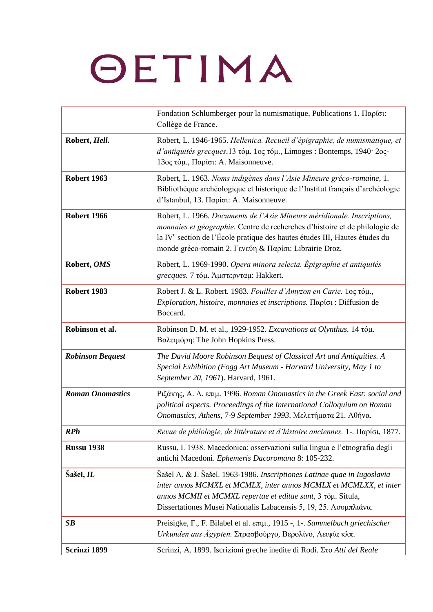|                         | Fondation Schlumberger pour la numismatique, Publications 1. Παρίσι:<br>Collège de France.                                                                                                                                                                                                                 |
|-------------------------|------------------------------------------------------------------------------------------------------------------------------------------------------------------------------------------------------------------------------------------------------------------------------------------------------------|
| Robert, Hell.           | Robert, L. 1946-1965. Hellenica. Recueil d'épigraphie, de numismatique, et<br>d'antiquités grecques.13 τόμ. 1ος τόμ., Limoges : Bontemps, 1940· 2ος-<br>13ος τόμ., Παρίσι: A. Maisonneuve.                                                                                                                 |
| Robert 1963             | Robert, L. 1963. Noms indigènes dans l'Asie Mineure gréco-romaine, 1.<br>Bibliothèque archéologique et historique de l'Institut français d'archéologie<br>d'Istanbul, 13. Παρίσι: A. Maisonneuve.                                                                                                          |
| <b>Robert 1966</b>      | Robert, L. 1966. Documents de l'Asie Mineure méridionale. Inscriptions,<br>monnaies et géographie. Centre de recherches d'histoire et de philologie de<br>la IV <sup>e</sup> section de l'École pratique des hautes études III, Hautes études du<br>monde gréco-romain 2. Γενεύη & Παρίσι: Librairie Droz. |
| Robert, OMS             | Robert, L. 1969-1990. Opera minora selecta. Épigraphie et antiquités<br>grecques. 7 τόμ. Άμστερνταμ: Hakkert.                                                                                                                                                                                              |
| <b>Robert 1983</b>      | Robert J. & L. Robert. 1983. Fouilles d'Amyzon en Carie. 1oc tóµ.,<br><i>Exploration, histoire, monnaies et inscriptions. Παρίσι: Diffusion de</i><br>Boccard.                                                                                                                                             |
| Robinson et al.         | Robinson D. M. et al., 1929-1952. Excavations at Olynthus. 14 τόμ.<br>Βαλτιμόρη: The John Hopkins Press.                                                                                                                                                                                                   |
| <b>Robinson Bequest</b> | The David Moore Robinson Bequest of Classical Art and Antiquities. A<br>Special Exhibition (Fogg Art Museum - Harvard University, May 1 to<br>September 20, 1961). Harvard, 1961.                                                                                                                          |
| <b>Roman Onomastics</b> | Pιζάκης, A. Δ. επιμ. 1996. Roman Onomastics in the Greek East: social and<br>political aspects. Proceedings of the International Colloquium on Roman<br>Onomastics, Athens, 7-9 September 1993. Μελετήματα 21. Αθήνα.                                                                                      |
| RPh                     | Revue de philologie, de littérature et d'histoire anciennes. 1-. Παρίσι, 1877.                                                                                                                                                                                                                             |
| <b>Russu 1938</b>       | Russu, I. 1938. Macedonica: osservazioni sulla lingua e l'etnografia degli<br>antichi Macedoni. Ephemeris Dacoromana 8: 105-232.                                                                                                                                                                           |
| Šašel, IL               | Šašel A. & J. Šašel. 1963-1986. Inscriptiones Latinae quae in Iugoslavia<br>inter annos MCMXL et MCMLX, inter annos MCMLX et MCMLXX, et inter<br>annos MCMII et MCMXL repertae et editae sunt, 3 tóµ. Situla,<br>Dissertationes Musei Nationalis Labacensis 5, 19, 25. Λουμπλιάνα.                         |
| SB                      | Preisigke, F., F. Bilabel et al. επιμ., 1915 -, 1-. Sammelbuch griechischer<br>Urkunden aus Ägypten. Στρασβούργο, Βερολίνο, Λειψία κλπ.                                                                                                                                                                    |
| Scrinzi 1899            | Scrinzi, A. 1899. Iscrizioni greche inedite di Rodi. <i>Eto Atti del Reale</i>                                                                                                                                                                                                                             |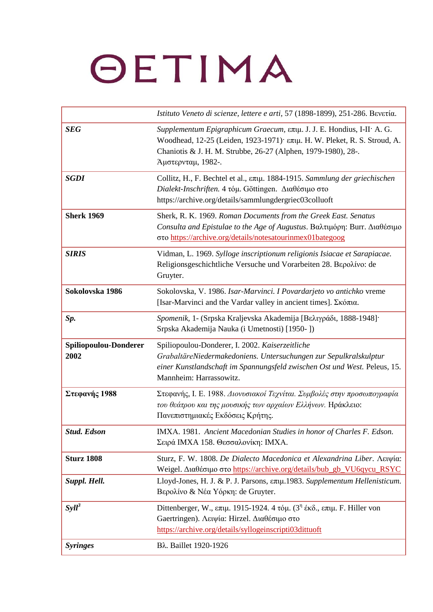|                               | Istituto Veneto di scienze, lettere e arti, 57 (1898-1899), 251-286. Bevetía.                                                                                                                                                                                            |
|-------------------------------|--------------------------------------------------------------------------------------------------------------------------------------------------------------------------------------------------------------------------------------------------------------------------|
| <b>SEG</b>                    | Supplementum Epigraphicum Graecum, επιμ. J. J. E. Hondius, I-II· A. G.<br>Woodhead, 12-25 (Leiden, 1923-1971) επιμ. Η. W. Pleket, R. S. Stroud, A.<br>Chaniotis & J. H. M. Strubbe, 26-27 (Alphen, 1979-1980), 28-.<br>Άμστερνταμ, 1982-.                                |
| <b>SGDI</b>                   | Collitz, H., F. Bechtel et al., επιμ. 1884-1915. Sammlung der griechischen<br>Dialekt-Inschriften. 4 τόμ. Göttingen. Διαθέσιμο στο<br>https://archive.org/details/sammlungdergriec03colluoft                                                                             |
| <b>Sherk 1969</b>             | Sherk, R. K. 1969. Roman Documents from the Greek East. Senatus<br>Consulta and Epistulae to the Age of Augustus. Βαλτιμόρη: Burr. Διαθέσιμο<br>στο https://archive.org/details/notesatourinmex01bategoog                                                                |
| <b>SIRIS</b>                  | Vidman, L. 1969. Sylloge inscriptionum religionis Isiacae et Sarapiacae.<br>Religionsgeschichtliche Versuche und Vorarbeiten 28. Βερολίνο: de<br>Gruyter.                                                                                                                |
| Sokolovska 1986               | Sokolovska, V. 1986. Isar-Marvinci. I Povardarjeto vo antichko vreme<br>[Isar-Marvinci and the Vardar valley in ancient times]. Σκόπια.                                                                                                                                  |
| Sp.                           | Spomenik, 1- (Srpska Kraljevska Akademija [Βελιγράδι, 1888-1948]·<br>Srpska Akademija Nauka (i Umetnosti) [1950-])                                                                                                                                                       |
| Spiliopoulou-Donderer<br>2002 | Spiliopoulou-Donderer, I. 2002. Kaiserzeitliche<br>GrabaltäreNiedermakedoniens. Untersuchungen zur Sepulkralskulptur<br>einer Kunstlandschaft im Spannungsfeld zwischen Ost und West. Peleus, 15.<br>Mannheim: Harrassowitz.                                             |
| Στεφανής 1988                 | Στεφανής, Ι. Ε. 1988. Διονυσιακοί Τεχνίται. Συμβολές στην προσωπογραφία<br>του θεάτρου και της μουσικής των αρχαίων Ελλήνων. Ηράκλειο:<br>Πανεπιστημιακές Εκδόσεις Κρήτης.                                                                                               |
| <b>Stud. Edson</b>            | IMXA. 1981. Ancient Macedonian Studies in honor of Charles F. Edson.<br>Σειρά ΙΜΧΑ 158. Θεσσαλονίκη: ΙΜΧΑ.                                                                                                                                                               |
| <b>Sturz 1808</b>             | Sturz, F. W. 1808. De Dialecto Macedonica et Alexandrina Liber. Λειψία:<br>Weigel. Διαθέσιμο στο https://archive.org/details/bub_gb_VU6qycu_RSYC                                                                                                                         |
| Suppl. Hell.                  | Lloyd-Jones, H. J. & P. J. Parsons, επιμ.1983. Supplementum Hellenisticum.<br>Βερολίνο & Νέα Υόρκη: de Gruyter.                                                                                                                                                          |
| $Syll^3$                      | Dittenberger, W., $\varepsilon \pi \mu$ . 1915-1924. 4 $\tau \omega \mu$ . (3 <sup>n</sup> $\varepsilon \kappa \delta$ ., $\varepsilon \pi \mu$ . F. Hiller von<br>Gaertringen). Λειψία: Hirzel. Διαθέσιμο στο<br>https://archive.org/details/syllogeinscripti03dittuoft |
| <b>Syringes</b>               | Βλ. Baillet 1920-1926                                                                                                                                                                                                                                                    |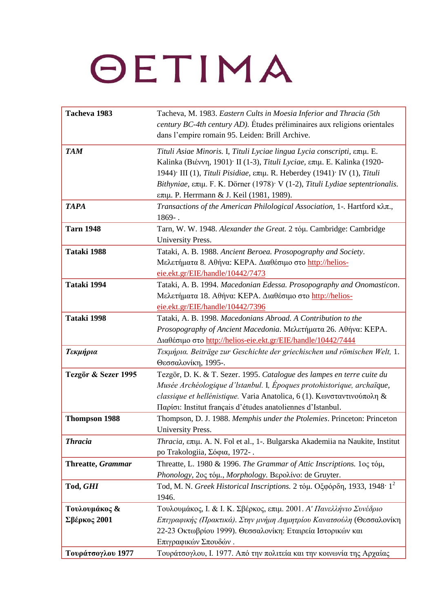| Tacheva 1983                  | Tacheva, M. 1983. Eastern Cults in Moesia Inferior and Thracia (5th<br>century BC-4th century AD). Études préliminaires aux religions orientales<br>dans l'empire romain 95. Leiden: Brill Archive.                                                                                                                                                                                                                            |
|-------------------------------|--------------------------------------------------------------------------------------------------------------------------------------------------------------------------------------------------------------------------------------------------------------------------------------------------------------------------------------------------------------------------------------------------------------------------------|
| <b>TAM</b>                    | Tituli Asiae Minoris. I, Tituli Lyciae lingua Lycia conscripti, επιμ. Ε.<br>Kalinka (Βιέννη, 1901) <sup>.</sup> ΙΙ (1-3), Tituli Lyciae, επιμ. Ε. Kalinka (1920-<br>1944) <sup>·</sup> III (1), Tituli Pisidiae, επιμ. R. Heberdey (1941) <sup>·</sup> IV (1), Tituli<br>Bithyniae, $\epsilon \pi \mu$ . F. K. Dörner (1978) <sup>.</sup> V (1-2), Tituli Lydiae septentrionalis.<br>επιμ. Ρ. Herrmann & J. Keil (1981, 1989). |
| <b>TAPA</b>                   | Transactions of the American Philological Association, 1-. Hartford κλπ.,<br>$1869-$ .                                                                                                                                                                                                                                                                                                                                         |
| <b>Tarn 1948</b>              | Tarn, W. W. 1948. Alexander the Great. 2 tóµ. Cambridge: Cambridge<br>University Press.                                                                                                                                                                                                                                                                                                                                        |
| Tataki 1988                   | Tataki, A. B. 1988. Ancient Beroea. Prosopography and Society.<br>Μελετήματα 8. Αθήνα: ΚΕΡΑ. Διαθέσιμο στο http://helios-<br>eie.ekt.gr/EIE/handle/10442/7473                                                                                                                                                                                                                                                                  |
| Tataki 1994                   | Tataki, A. B. 1994. Macedonian Edessa. Prosopography and Onomasticon.<br>Μελετήματα 18. Αθήνα: ΚΕΡΑ. Διαθέσιμο στο http://helios-<br>eie.ekt.gr/EIE/handle/10442/7396                                                                                                                                                                                                                                                          |
| Tataki 1998                   | Tataki, A. B. 1998. Macedonians Abroad. A Contribution to the<br>Prosopography of Ancient Macedonia. Μελετήματα 26. Αθήνα: ΚΕΡΑ.<br>Διαθέσιμο στο http://helios-eie.ekt.gr/EIE/handle/10442/7444                                                                                                                                                                                                                               |
| Τεκμήρια                      | Τεκμήρια. Beiträge zur Geschichte der griechischen und römischen Welt, 1.<br>Θεσσαλονίκη, 1995-.                                                                                                                                                                                                                                                                                                                               |
| Tezgör & Sezer 1995           | Tezgör, D. K. & T. Sezer. 1995. Catalogue des lampes en terre cuite du<br>Musée Archéologique d'Istanbul. I, Époques protohistorique, archaïque,<br>classique et hellénistique. Varia Anatolica, 6 (1). Κωνσταντινούπολη &<br>Παρίσι: Institut français d'études anatoliennes d'Istanbul.                                                                                                                                      |
| <b>Thompson 1988</b>          | Thompson, D. J. 1988. Memphis under the Ptolemies. Princeton: Princeton<br><b>University Press</b>                                                                                                                                                                                                                                                                                                                             |
| <b>Thracia</b>                | Thracia, επιμ. A. N. Fol et al., 1-. Bulgarska Akademiia na Naukite, Institut<br>po Trakologiia, Σόφια, 1972-.                                                                                                                                                                                                                                                                                                                 |
| <b>Threatte, Grammar</b>      | Threatte, L. 1980 & 1996. The Grammar of Attic Inscriptions. 1ος τόμ,<br>Phonology, 2ος τόμ., Morphology. Βερολίνο: de Gruyter.                                                                                                                                                                                                                                                                                                |
| Tod, GHI                      | Tod, M. N. Greek Historical Inscriptions. 2 τόμ. Οξφόρδη, 1933, 1948 $\cdot$ 1 <sup>2</sup><br>1946.                                                                                                                                                                                                                                                                                                                           |
| Τουλουμάκος &<br>Σβέρκος 2001 | Τουλουμάκος, Ι. & Ι. Κ. Σβέρκος, επιμ. 2001. Α' Πανελλήνιο Συνέδριο<br>Επιγραφικής (Πρακτικά). Στην μνήμη Δημητρίου Κανατσούλη (Θεσσαλονίκη<br>22-23 Οκτωβρίου 1999). Θεσσαλονίκη: Εταιρεία Ιστορικών και<br>Επιγραφικών Σπουδών.                                                                                                                                                                                              |
| Τουράτσογλου 1977             | Τουράτσογλου, Ι. 1977. Από την πολιτεία και την κοινωνία της Αρχαίας                                                                                                                                                                                                                                                                                                                                                           |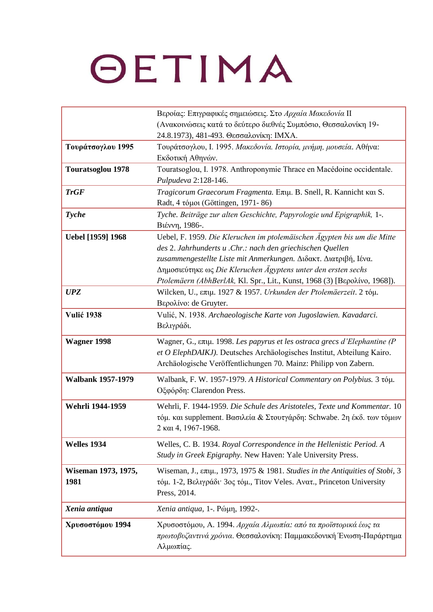|                          | Βεροίας: Επιγραφικές σημειώσεις. Στο Αρχαία Μακεδονία ΙΙ                                     |
|--------------------------|----------------------------------------------------------------------------------------------|
|                          | (Ανακοινώσεις κατά το δεύτερο διεθνές Συμπόσιο, Θεσσαλονίκη 19-                              |
|                          | 24.8.1973), 481-493. Θεσσαλονίκη: ΙΜΧΑ.                                                      |
| Τουράτσογλου 1995        | Τουράτσογλου, Ι. 1995. Μακεδονία. Ιστορία, μνήμη, μουσεία. Αθήνα:                            |
|                          | Εκδοτική Αθηνών.                                                                             |
| <b>Touratsoglou 1978</b> | Touratsoglou, I. 1978. Anthroponymie Thrace en Macédoine occidentale.                        |
|                          | Pulpudeva 2:128-146.                                                                         |
| <b>TrGF</b>              | Tragicorum Graecorum Fragmenta. Επιμ. Β. Snell, R. Kannicht και S.                           |
|                          | Radt, 4 τόμοι (Göttingen, 1971-86)                                                           |
| <b>Tyche</b>             | Tyche. Beiträge zur alten Geschichte, Papyrologie und Epigraphik, 1-.                        |
|                          | Βιέννη, 1986-.                                                                               |
| Uebel [1959] 1968        | Uebel, F. 1959. Die Kleruchen im ptolemäischen Ägypten bis um die Mitte                      |
|                          | des 2. Jahrhunderts u .Chr.: nach den griechischen Quellen                                   |
|                          | zusammengestellte Liste mit Anmerkungen. Διδακτ. Διατριβή, Ιένα.                             |
|                          | Δημοσιεύτηκε ως Die Kleruchen Ägyptens unter den ersten sechs                                |
|                          | Ptolemäern (AbhBerlAk, Kl. Spr., Lit., Kunst, 1968 (3) [Βερολίνο, 1968]).                    |
| <b>UPZ</b>               | Wilcken, U., επιμ. 1927 & 1957. Urkunden der Ptolemäerzeit. 2 τόμ.                           |
|                          | Βερολίνο: de Gruyter.                                                                        |
| <b>Vulić 1938</b>        | Vulić, N. 1938. Archaeologische Karte von Jugoslawien. Kavadarci.                            |
|                          | Βελιγράδι.                                                                                   |
| <b>Wagner 1998</b>       | Wagner, G., επιμ. 1998. Les papyrus et les ostraca grecs d'Elephantine (P                    |
|                          | et O ElephDAIKJ). Deutsches Archäologisches Institut, Abteilung Kairo.                       |
|                          | Archäologische Veröffentlichungen 70. Mainz: Philipp von Zabern.                             |
| <b>Walbank 1957-1979</b> | Walbank, F. W. 1957-1979. A Historical Commentary on Polybius. 3 τόμ.                        |
|                          | Οξφόρδη: Clarendon Press.                                                                    |
|                          |                                                                                              |
| Wehrli 1944-1959         | Wehrli, F. 1944-1959. Die Schule des Aristoteles, Texte und Kommentar. 10                    |
|                          | τόμ. και supplement. Βασιλεία & Στουτγάρδη: Schwabe. 2η έκδ. των τόμων                       |
|                          | 2 και 4, 1967-1968.                                                                          |
| Welles 1934              | Welles, C. B. 1934. Royal Correspondence in the Hellenistic Period. A                        |
|                          | Study in Greek Epigraphy. New Haven: Yale University Press.                                  |
| Wiseman 1973, 1975,      | Wiseman, J., $\epsilon \pi \mu$ ., 1973, 1975 & 1981. Studies in the Antiquities of Stobi, 3 |
| 1981                     | τόμ. 1-2, Βελιγράδι <sup>·</sup> 3ος τόμ., Titov Veles. Ανατ., Princeton University          |
|                          | Press, 2014.                                                                                 |
|                          |                                                                                              |
| Xenia antiqua            | Xenia antiqua, 1-. Ρώμη, 1992-.                                                              |
| Χρυσοστόμου 1994         | Χρυσοστόμου, Α. 1994. Αρχαία Αλμωπία: από τα προϊστορικά έως τα                              |
|                          | πρωτοβυζαντινά χρόνια. Θεσσαλονίκη: Παμμακεδονική Ένωση-Παράρτημα                            |
|                          | Αλμωπίας.                                                                                    |